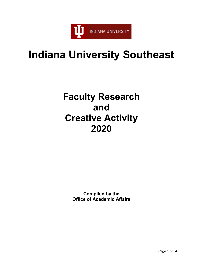

# **Indiana University Southeast**

# **Faculty Research and Creative Activity 2020**

**Compiled by the Office of Academic Affairs**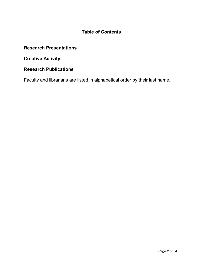# **Table of Contents**

# **Research Presentations**

**Creative Activity** 

# **Research Publications**

Faculty and librarians are listed in alphabetical order by their last name.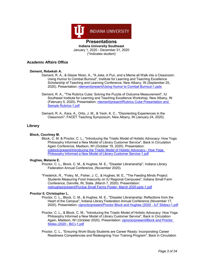

January 1, 2020 - December 31, 2020 (\*indicates student)

## **Academic Affairs Office**

## **Dement, Rebekah A.**

- Dement, R. A., & Glazer Niren, A., "A Joke, A Pun, and a Meme all Walk into a Classroom: Using Humor to Combat Burnout", Institute for Learning and Teaching Excellence Scholarship of Teaching and Learning Conference, New Albany, IN (September 25, 2020). Presentation: [rdement/present/Using Humor to Combat Burnout-1.pptx](https://www.digitalmeasures.com/login/indiana/faculty/survey/ui/showFile?file=cmRlbWVudC9wcmVzZW50L1VzaW5nIEh1bW9yIHRvIENvbWJhdCBCdXJub3V0LTEucHB0eA%3D%3D&surId=18106850&nodeId=1610663&sdId=105964555&sdSurId=18106850&rptId=20237&ver=2&sgntr=FZuS8BRy9nganLPorXd53Rf%2B23k%3D)
- Dement, R. A., "The Rubrics Cube: Solving the Puzzle of Outcome Measurement", IU Southeast Institute for Learning and Teaching Excellence Workshop, New Albany, IN (February 5, 2020). Presentation: [rdement/present/Rubrics Cube Presentation and](https://www.digitalmeasures.com/login/indiana/faculty/survey/ui/showFile?file=cmRlbWVudC9wcmVzZW50L1J1YnJpY3MgQ3ViZSBQcmVzZW50YXRpb24gYW5kIFNhbXBsZSBSdWJyaWNzLTEucGRm&surId=18106850&nodeId=1610663&sdId=105965282&sdSurId=18106850&rptId=20237&ver=2&sgntr=aim9ZdO%2Bxy2JiU3eW135H0i2d88%3D)  [Sample Rubrics-1.pdf](https://www.digitalmeasures.com/login/indiana/faculty/survey/ui/showFile?file=cmRlbWVudC9wcmVzZW50L1J1YnJpY3MgQ3ViZSBQcmVzZW50YXRpb24gYW5kIFNhbXBsZSBSdWJyaWNzLTEucGRm&surId=18106850&nodeId=1610663&sdId=105965282&sdSurId=18106850&rptId=20237&ver=2&sgntr=aim9ZdO%2Bxy2JiU3eW135H0i2d88%3D)
- Dement, R. A., Kara, A., Ortiz, J. M., & Yeoh, K. C., "Disorienting Experiences in the Classroom", FACET Teaching Symposium, New Albany, IN (January 24, 2020).

## **Library**

## **Block, Courtney M.**

Block, C. M. & Proctor, C. L., "Introducing the Triadic Model of Holistic Advocacy: How Yoga Philosophy Informed a New Model of Library Customer Service", Back In Circulation Again Conference, Madison, WI (October 19, 2020). Presentation: [coblock/present/Introducing the Triadic Model of Holistic Advocacy -](https://www.digitalmeasures.com/login/indiana/faculty/survey/ui/showFile?file=Y29ibG9jay9wcmVzZW50L0ludHJvZHVjaW5nIHRoZSBUcmlhZGljIE1vZGVsIG9mIEhvbGlzdGljIEFkdm9jYWN5IC0gSG93IFlvZ2EgUGhpbG9zb3BoeSBJbmZvcm1lZCBhIE5ldyBNb2RlbCBvZiBMaWJyYXJ5IEN1c3RvbWVyIFNlcnZpY2UtMS5wZGY%3D&surId=17691684&nodeId=1610663&sdId=105950238&sdSurId=17691684&rptId=20237&ver=2&sgntr=h8dzJtA5YAPUnrkzbYbnax4zb8k%3D) How Yoga [Philosophy Informed a New Model of Library Customer Service-1.pdf](https://www.digitalmeasures.com/login/indiana/faculty/survey/ui/showFile?file=Y29ibG9jay9wcmVzZW50L0ludHJvZHVjaW5nIHRoZSBUcmlhZGljIE1vZGVsIG9mIEhvbGlzdGljIEFkdm9jYWN5IC0gSG93IFlvZ2EgUGhpbG9zb3BoeSBJbmZvcm1lZCBhIE5ldyBNb2RlbCBvZiBMaWJyYXJ5IEN1c3RvbWVyIFNlcnZpY2UtMS5wZGY%3D&surId=17691684&nodeId=1610663&sdId=105950238&sdSurId=17691684&rptId=20237&ver=2&sgntr=h8dzJtA5YAPUnrkzbYbnax4zb8k%3D)

## **Hughes, Melanie E.**

- Proctor, C. L., Block, C. M., & Hughes, M. E., "Disaster Librarianship", Indiana Library Federation Annual Conference, (November 2020).
- \*Frederick, R., \*Foley, M., Fisher, J. C., & Hughes, M. E., "The Feeding Minds Project: Students Measuring Food Insecurity on IU Regional Campuses", Indiana Small Farm Conference, Danville, IN, State. (March 7, 2020). Presentation: [mehughes/present/Purdue Small Farms Poster-](https://www.digitalmeasures.com/login/indiana/faculty/survey/ui/showFile?file=bWVodWdoZXMvcHJlc2VudC9QdXJkdWUgU21hbGwgRmFybXMgUG9zdGVyLSBNYXJjaCAyMDIwLnBwdHgtMS5wZGY%3D&surId=17691688&nodeId=1610663&sdId=106001060&sdSurId=17691688&rptId=20237&ver=2&sgntr=%2FtBk6iEneGytmng10AW%2F752HgLw%3D) March 2020.pptx-1.pdf

## **Proctor II, Christopher L.**

- Proctor, C. L., Block, C. M., & Hughes, M. E., "Disaster Librarianship: Reflections from the Heart of the Campus", Indiana Library Federation Annual Conference (November 17, 2020). Presentation: [clprocto/present/Proctor Block and Hughes \(2020 -](https://www.digitalmeasures.com/login/indiana/faculty/survey/ui/showFile?file=Y2xwcm9jdG8vcHJlc2VudC9Qcm9jdG9yIEJsb2NrIGFuZCBIdWdoZXMgKDIwMjAgLSBJTEYgU2xpZGVzKS0xLnBkZg%3D%3D&surId=17962902&nodeId=1610663&sdId=104621932&sdSurId=17962902&rptId=20237&ver=2&sgntr=k6%2Bp%2Bwx%2F13XBIGi%2BiUXQTYvjptI%3D) ILF Slides)-1.pdf
- Proctor, C. L., & Block, C. M., "Introducing the Triadic Model of Holistic Advocacy: How Yoga Philosophy Informed a New Model of Library Customer Service", Back in Circulation Again, Madison, WI (October 2020). Presentation: clprocto/present/Block and Proctor [Slides \(2020 -](https://www.digitalmeasures.com/login/indiana/faculty/survey/ui/showFile?file=Y2xwcm9jdG8vcHJlc2VudC9CbG9jayBhbmQgUHJvY3RvciBTbGlkZXMgKDIwMjAgLSBCaUMpLTEucGRm&surId=17962902&nodeId=1610663&sdId=104623117&sdSurId=17962902&rptId=20237&ver=2&sgntr=LRKU8JTWBfomoMyFQDJ4H%2BR%2BjKo%3D) BiC)-1.pdf
- Proctor, C. L., "Ensuring Work-Study Students are Career Ready: Incorporating Career Readiness Competencies and Redesigning Your Training Program", Back in Circulation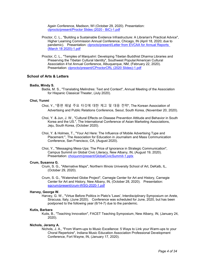Again Conference, Madison, WI (October 29, 2020). Presentation: [clprocto/present/Proctor Slides \(2020 -](https://www.digitalmeasures.com/login/indiana/faculty/survey/ui/showFile?file=Y2xwcm9jdG8vcHJlc2VudC9Qcm9jdG9yIFNsaWRlcyAoMjAyMCAtIEJpQyktMS5wZGY%3D&surId=17962902&nodeId=1610663&sdId=104623378&sdSurId=17962902&rptId=20237&ver=2&sgntr=tu7kHOw9WEFN1cbciHshXXP3JhQ%3D) BiC)-1.pdf

- Proctor, C. L., "Building a Sustainable Evidence Infrastructure: A Librarian's Practical Advice", Higher Learning Commission Annual Conference, Chicago, IN (April 18, 2020; due to pandemic). Presentation: [clprocto/present/Letter from EVCAA for Annual Reports](https://www.digitalmeasures.com/login/indiana/faculty/survey/ui/showFile?file=Y2xwcm9jdG8vcHJlc2VudC9MZXR0ZXIgZnJvbSBFVkNBQSBmb3IgQW5udWFsIFJlcG9ydHMgKE1hcmNoIDE4IDIwMjApLTEucGRm&surId=17962902&nodeId=1610663&sdId=104667550&sdSurId=17962902&rptId=20237&ver=2&sgntr=j3wluOZ%2BqlRg%2FaiAiX81%2BkIju9s%3D)  [\(March 18 2020\)-1.pdf](https://www.digitalmeasures.com/login/indiana/faculty/survey/ui/showFile?file=Y2xwcm9jdG8vcHJlc2VudC9MZXR0ZXIgZnJvbSBFVkNBQSBmb3IgQW5udWFsIFJlcG9ydHMgKE1hcmNoIDE4IDIwMjApLTEucGRm&surId=17962902&nodeId=1610663&sdId=104667550&sdSurId=17962902&rptId=20237&ver=2&sgntr=j3wluOZ%2BqlRg%2FaiAiX81%2BkIju9s%3D)
- Proctor, C. L., "Temples of Manjushri: Developing Tibetan Buddhist Dharma Libraries and Preserving the Tibetan Cultural Identity", Southwest Popular/American Cultural Association 41st Annual Conference, Albuquerque, NM, (February 22, 2020). Presentation: [clprocto/present/CProctorCRL \(2020 Slides\)-1.pdf](https://www.digitalmeasures.com/login/indiana/faculty/survey/ui/showFile?file=Y2xwcm9jdG8vcHJlc2VudC9DUHJvY3RvckNSTCAoMjAyMCBTbGlkZXMpLTEucGRm&surId=17962902&nodeId=1610663&sdId=104633056&sdSurId=17962902&rptId=20237&ver=2&sgntr=S2yxo4iFHsFCdvZ%2Bqtt4SwXQ1Nw%3D)

## **School of Arts & Letters**

## **Badia, Mindy S.**

Badia, M. S., "Translating Melindres: Text and Context", Annual Meeting of the Association for Hispanic Classical Theater, (July 2020).

## **Choi, Yunmi**

- Choi, Y., "종편 패널 주요 타깃에 대한 제고 및 대응 전략", The Korean Association of Advertising and Public Relations Conference, Seoul, South Korea, (November 20, 2020).
- Choi, Y. & Jun, J. W., "Cultural Effects on Disease Prevention Attitude and Behavior in South Korea and the US.", The International Conference of Asian Marketing Associations, Jeju, South Korea, (October 2020).
- Choi, Y. & Holmes, T., "Your Ad Here: The Influence of Mobile Advertising Type and Placement.", The Association for Education in Journalism and Mass Communication Conference, San Francisco, CA, (August 2020).
- Choi, Y., "Messaging Mess-Ups: The Price of Ignorance in Strategic Communication", Campus Summit on Global Civic Literacy, New Albany, IN, (August 19, 2020). Presentation: [choiyunm/present/GlobalCivicSummit-1.pptx](https://www.digitalmeasures.com/login/indiana/faculty/survey/ui/showFile?file=Y2hvaXl1bm0vcHJlc2VudC9HbG9iYWxDaXZpY1N1bW1pdC0xLnBwdHg%3D&surId=17976613&nodeId=1610663&sdId=104961439&sdSurId=17976613&rptId=20237&ver=2&sgntr=TeiZqGbg1L2CLhMuEALK7Bu2RnQ%3D)

#### **Crum, Susanna G.**

- Crum, S. G., "Alternative Maps", Northern Illinois University School of Art, DeKalb, IL, (October 29, 2020).
- Crum, S. G., "Watershed Globe Project", Carnegie Center for Art and History, Carnegie Center for Art and History, New Albany, IN, (October 28, 2020). Presentation: [sgcrum/present/crum-WSG-2020-1.pdf](https://www.digitalmeasures.com/login/indiana/faculty/survey/ui/showFile?file=c2djcnVtL3ByZXNlbnQvY3J1bS1XU0ctMjAyMC0xLnBkZg%3D%3D&surId=17691155&nodeId=1610663&sdId=105998172&sdSurId=17691155&rptId=20237&ver=2&sgntr=i7QdUMvVYRUUE%2Bov7%2BQxkLeWtk0%3D)

## **Harvey, George W.**

Harvey, G. W., "Virtue Before Politics in Plato's 'Laws', Interdisciplinary Symposium on Arete, Siracusa, Italy, (June 2020). Conference was scheduled for June, 2020, but has been postponed to the following year (6/14-7) due to the pandemic.

#### **Kutis, Barbara**

Kutis, B., "Teaching Innovation", FACET Teaching Symposium, New Albany, IN, (January 24, 2020).

#### **Nichols, Jeramy A.**

Nichols, J. A., "From Warm-ups to Music Excellence: 5 Ways to Link your Warm-ups to your Choral Repertoire", Indiana Music Education Association Professional Development Conference, Fort Wayne, IN, (January 17, 2020).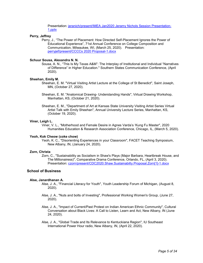Presentation: [jeranich/present/IMEA Jan2020 Jeramy Nichols Session Presentation-](https://www.digitalmeasures.com/login/indiana/faculty/survey/ui/showFile?file=amVyYW5pY2gvcHJlc2VudC9JTUVBIEphbjIwMjAgSmVyYW15IE5pY2hvbHMgU2Vzc2lvbiBQcmVzZW50YXRpb24tMS5wcHR4&surId=17829045&nodeId=1610663&sdId=106014013&sdSurId=17829045&rptId=20237&ver=2&sgntr=0vCwcgJHSZ%2Fxpsg51o1MYuQHsDY%3D)[1.pptx](https://www.digitalmeasures.com/login/indiana/faculty/survey/ui/showFile?file=amVyYW5pY2gvcHJlc2VudC9JTUVBIEphbjIwMjAgSmVyYW15IE5pY2hvbHMgU2Vzc2lvbiBQcmVzZW50YXRpb24tMS5wcHR4&surId=17829045&nodeId=1610663&sdId=106014013&sdSurId=17829045&rptId=20237&ver=2&sgntr=0vCwcgJHSZ%2Fxpsg51o1MYuQHsDY%3D)

#### **Perry, Jeffrey**

Perry, J., "The Power of Placement: How Directed Self-Placement Ignores the Power of Educational Experience", 71st Annual Conference on College Composition and Communication, Milwaukee, WI, (March 25, 2020). Presentation: [perryjef/present/CCCCs 2020 Proposal-1.docx](https://www.digitalmeasures.com/login/indiana/faculty/survey/ui/showFile?file=cGVycnlqZWYvcHJlc2VudC9DQ0NDcyAyMDIwIFByb3Bvc2FsLTEuZG9jeA%3D%3D&surId=17691150&nodeId=1610663&sdId=97892701&sdSurId=17691150&rptId=20237&ver=2&sgntr=09Bnb2stGZJUGsrXCJVwgt6AIKY%3D)

## **Schuur Sousa, Alexandra N. N.**

Sousa, A. N., "This Is My Texas A&M": The Interplay of Institutional and Individual "Narratives of Difference" in Higher Education." Southern States Communication Conference, (April 2020).

## **Sheehan, Emily M.**

- Sheehan, E. M. "Virtual Visiting Artist Lecture at the College of St Benedict", Saint Joseph, MN, (October 27, 2020).
- Sheehan, E. M. "Anatomical Drawing- Understanding Hands", Virtual Drawing Workshop, Manhattan, KS, (October 21, 2020).
- Sheehan, E. M., "Department of Art at Kansas State University Visiting Artist Series Virtual Artist Talk with Emily Sheehan", Annual University Lecture Series, Manhattan, KS, (October 19, 2020).

#### **Viner, Leigh L.**

Viner, V. L., "Motherhood and Female Desire in Agnes Varda's 'Kung Fu Master", 2020 Humanities Education & Research Association Conference, Chicago, IL, (March 5, 2020).

#### **Yeoh, Kok Cheow (coke chow)**

Yeoh, K. C., "Disorienting Experiences in your Classroom", FACET Teaching Symposium, New Albany, IN, (January 24, 2020).

#### **Zorn, Christa**

Zorn, C., "Sustainability as Socialism in Shaw's Plays (Major Barbara, Heartbreak House, and The Millionairess)", Comparative Drama Conference, Orlando, FL, (April 3, 2020). Presentation: [czorn/present/CDC2020.Shaw.Sustainabilty.Proposal.Zorn\[1\]-1.docx](https://www.digitalmeasures.com/login/indiana/faculty/survey/ui/showFile?file=Y3pvcm4vcHJlc2VudC9DREMyMDIwLlNoYXcuU3VzdGFpbmFiaWx0eS5Qcm9wb3NhbC5ab3JuWzFdLTEuZG9jeA%3D%3D&surId=17691127&nodeId=1610663&sdId=98514428&sdSurId=17691127&rptId=20237&ver=2&sgntr=ysmw9uPWZuyJhaEO6u1o%2FLolL3M%3D)

## **School of Business**

## **Alse, Janardhanan A.**

- Alse, J. A., "Financial Literacy for Youth", Youth Leadership Forum of Michigan, (August 8, 2020).
- Alse, J. A., "Nuts and bolts of Investing", Professional Working Women's Group, (June 27, 2020).
- Alse, J. A., "Impact of Current/Past Protest on Indian American Ethnic Community", Cultural Conversation about Black Lives: A Call to Listen, Learn and Act, New Albany, IN (June 24, 2020).
- Alse, J. A., "Global Trade and Its Relevance to Kentuckiana Region", IU Southeast International Power Hour radio, New Albany, IN, (April 22, 2020).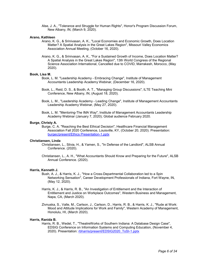Alse, J. A., "Tolerance and Struggle for Human Rights", Honor's Program Discussion Forum, New Albany, IN, (March 9, 2020).

#### **Arano, Kathleen**

- Arano, K. G., & Srinivasan, A. K., "Local Economies and Economic Growth, Does Location Matter? A Spatial Analysis in the Great Lakes Region", Missouri Valley Economics Association Annual Meeting, (October 16, 2020).
- Arano, K. G., & Srinivasan, A. K., "For a Sustained Growth of Income, Does Location Matter? A Spatial Analysis in the Great Lakes Region", 13th World Congress of the Regional Science Association International, Cancelled due to COVID, Marrakesh, Morocco, (May 2020).

#### **Book, Lisa M.**

- Book, L. M. "Leadership Academy Embracing Change", Institute of Management Accountants Leadership Academy Webinar, (December 16, 2020).
- Book, L., Reid, D. S., & Booth, A. T., "Managing Group Discussions", ILTE Teaching Mini Conference, New Albany, IN, (August 18, 2020).
- Book, L. M., "Leadership Academy Leading Change", Institute of Management Accountants Leadership Academy Webinar, (May 27, 2020).
- Book, L. M. "Mentoring-The IMA Way", Institute of Management Accountants Leadership Academy Webinar (January 7, 2020); Global audience February 2020.

## **Burge, Christy A.**

Burge, C. A. "Reaching the Best Ethical Decision", Healthcare Financial Management Association Fall 2020 Conference, Louisville, KY, (October 20, 2020). Presentation: [burgec/present/Ethics Presentation-1.pptx](https://www.digitalmeasures.com/login/indiana/faculty/survey/ui/showFile?file=YnVyZ2VjL3ByZXNlbnQvRXRoaWNzIFByZXNlbnRhdGlvbi0xLnBwdHg%3D&surId=18161427&nodeId=1610663&sdId=105819120&sdSurId=18161427&rptId=20237&ver=2&sgntr=8v%2F5vqPqmwXTHxK2uLHbLckrVLk%3D)

### **Christiansen, Linda**

- Christiansen, L., Silvia, H., & Yamen, S., "In Defense of the Landlord", ALSB Annual Conference. (2020).
- Christiansen, L., A. H., "What Accountants Should Know and Preparing for the Future", ALSB Annual Conference. (2020).

#### **Harris, Kenneth J.**

- Bush, A. J., & Harris, K. J., "How a Cross-Departmental Collaboration led to a Spin Networking Sensation", Career Development Professionals of Indiana, Fort Wayne, IN, (May 12, 2020).
- Harris, K. J., & Harris, R. B., "An Investigation of Entitlement and the Interaction of Entitlement and Justice on Workplace Outcomes", Western Business and Management, Napa, CA, (March 2020).
- Zivnuska, S., Valle, M., Carlson, J., Carlson, D., Harris, R. B., & Harris, K. J., "Rude at Work: Mood and Attitude Implications for Work and Family", Western Academy of Management, Honolulu, HI, (March 2020).

## **Harris, Ranida B.**

Harris, R. B., Wedel, T., "TheatreWorks of Southern Indiana: A Database Design Case", EDSIG Conference on Information Systems and Computing Education, (November 4, 2020). Presentation: [rbharris/present/EDSIG2020\\_ToSI-1.pptx](https://www.digitalmeasures.com/login/indiana/faculty/survey/ui/showFile?file=cmJoYXJyaXMvcHJlc2VudC9FRFNJRzIwMjBfVG9TSS0xLnBwdHg%3D&surId=17691116&nodeId=1610663&sdId=103849273&sdSurId=17691116&rptId=20237&ver=2&sgntr=P8735dRaLSbVvOvjKOD1FXIU%2Fpg%3D)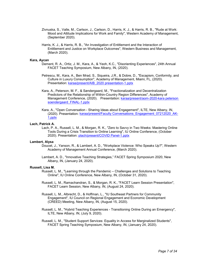- Zivnuska, S., Valle, M., Carlson, J., Carlson, D., Harris, K. J., & Harris, R. B., "Rude at Work: Mood and Attitude Implications for Work and Family", Western Academy of Management, (September 2020).
- Harris, K. J., & Harris, R. B., "An Investigation of Entitlement and the Interaction of Entitlement and Justice on Workplace Outcomes", Western Business and Management, (March 2020).

## **Kara, Aycan**

- Dement, R. A., Ortiz, J. M., Kara, A., & Yeoh, K.C., "Disorienting Experiences", 24th Annual FACET Teaching Symposium, New Albany, IN, (2020).
- Petrescu, M., Kara, A., Ben Mrad, S., Siqueira, J.R., & Dobre, D., "Escapism, Conformity, and Culture in Luxury Consumption", Academy of Management, Miami, FL, (2020). Presentation: [karaa/present/AIB\\_2020 presentation-1.pptx](https://www.digitalmeasures.com/login/indiana/faculty/survey/ui/showFile?file=a2FyYWEvcHJlc2VudC9BSUJfMjAyMCBwcmVzZW50YXRpb24tMS5wcHR4&surId=17691105&nodeId=1610663&sdId=105081755&sdSurId=17691105&rptId=20237&ver=2&sgntr=vHj2n6sKhgOpDtsC4MVr5DbzJio%3D)
- Kara, A., Peterson, M. F., & Søndergaard, M., "Fractionalization and Decentralization Predictors of the Relationship of Within-Country Region Differences", Academy of Management Conference, (2020). Presentation: [karaa/present/aom-2020-kara peterson](https://www.digitalmeasures.com/login/indiana/faculty/survey/ui/showFile?file=a2FyYWEvcHJlc2VudC9hb20tMjAyMC1rYXJhIHBldGVyc29uIHNvZW5kZXJnYWFyZF9GSU5BTC0xLnBwdHg%3D&surId=17691105&nodeId=1610663&sdId=105081833&sdSurId=17691105&rptId=20237&ver=2&sgntr=8hGySLZCzTb4Smon%2FrXLVZrVeiA%3D)  [soendergaard\\_FINAL-1.pptx](https://www.digitalmeasures.com/login/indiana/faculty/survey/ui/showFile?file=a2FyYWEvcHJlc2VudC9hb20tMjAyMC1rYXJhIHBldGVyc29uIHNvZW5kZXJnYWFyZF9GSU5BTC0xLnBwdHg%3D&surId=17691105&nodeId=1610663&sdId=105081833&sdSurId=17691105&rptId=20237&ver=2&sgntr=8hGySLZCzTb4Smon%2FrXLVZrVeiA%3D)
- Kara, A., "Open Conversation Sharing Ideas about Engagement", ILTE, New Albany, IN, (2020). Presentation: [karaa/present/Faculty Conversations\\_Engagement\\_07212020\\_AK-](https://www.digitalmeasures.com/login/indiana/faculty/survey/ui/showFile?file=a2FyYWEvcHJlc2VudC9GYWN1bHR5IENvbnZlcnNhdGlvbnNfRW5nYWdlbWVudF8wNzIxMjAyMF9BSy0xLnBwdHg%3D&surId=17691105&nodeId=1610663&sdId=105082719&sdSurId=17691105&rptId=20237&ver=2&sgntr=MKFBFOvBm2%2BwhR4xRIXXpgZLhPk%3D)[1.pptx](https://www.digitalmeasures.com/login/indiana/faculty/survey/ui/showFile?file=a2FyYWEvcHJlc2VudC9GYWN1bHR5IENvbnZlcnNhdGlvbnNfRW5nYWdlbWVudF8wNzIxMjAyMF9BSy0xLnBwdHg%3D&surId=17691105&nodeId=1610663&sdId=105082719&sdSurId=17691105&rptId=20237&ver=2&sgntr=MKFBFOvBm2%2BwhR4xRIXXpgZLhPk%3D)

#### **Lach, Patrick A.**

Lach, P. A., Russell, L. M., & Morgan, R. K., "Zero to Savvy in Two Weeks: Mastering Online Tools During a Crisis Transition to Online Learning", IU Online Conference, (October 2020). Presentation: [plach/present/COVID Panel-1.pptx](https://www.digitalmeasures.com/login/indiana/faculty/survey/ui/showFile?file=cGxhY2gvcHJlc2VudC9DT1ZJRCBQYW5lbC0xLnBwdHg%3D&surId=18089702&nodeId=1610663&sdId=103716193&sdSurId=18089702&rptId=20237&ver=2&sgntr=MLcUEDUEb2htBVEEsxPlrbeBfZk%3D)

#### **Lambert, Alysa**

- Doucet, J., Yanson, R., & Lambert, A. D., "Workplace Violence: Who Speaks Up?", Western Academy of Management Annual Conference, (March 2020).
- Lambert, A. D., "Innovative Teaching Strategies," FACET Spring Symposium 2020, New Albany, IN, (January 24, 2020).

#### **Russell, Lisa M.**

- Russell, L. M., "Learning through the Pandemic Challenges and Solutions to Teaching Online", IU Online Conference, New Albany, IN, (October 31, 2020).
- Russell, L. M., Ramachandran, S., & Morgan, R. K., "FACET Learn Session Presentation", FACET Learn Session, New Albany, IN, (August 24, 2020).
- Russell, L. M., Albrecht, D., & Hoffman, L., "IU Southeast Partners for Community Engagement", IU Council on Regional Engagement and Economic Development (CREED) Meeting, New Albany, IN, (August 15, 2020).
- Russell, L. M., "Hybrid Teaching Experiences Transitioning Online During an Emergency", ILTE, New Albany, IN, (July 9, 2020).
- Russell, L. M., "Student Support Services: Equality in Access for Marginalized Students", FACET Spring Teaching Symposium, New Albany, IN, (January 24, 2020).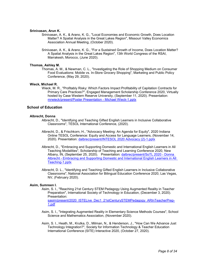#### **Srinivasan, Arun K.**

- Srinivasan, A. K., & Arano, K. G., "Local Economies and Economic Growth, Does Location Matter? A Spatial Analysis in the Great Lakes Region", Missouri Valley Economics Association Annual Meeting, (October 2020).
- Srinivasan, A. K., & Arano, K. G., "For a Sustained Growth of Income, Does Location Matter? A Spatial Analysis in the Great Lakes Region", 13th World Congress of the RSAI, Marrakesh, Morocco, (June 2020).

## **Thomas, Ashley M.**

Thomas, A. M., & Newman, C. L., "Investigating the Role of Shopping Medium on Consumer Food Evaluations: Mobile vs. In-Store Grocery Shopping", Marketing and Public Policy Conference, (May 29, 2020).

#### **Wieck, Michael R.**

Wieck, M. R., "Profitably Risky: Which Factors Impact Profitability of Capitation Contracts for Primary Care Practices?", Engaged Management Scholarship Conference 2020, Virtually hosted by Case Western Reserve University, (September 11, 2020). Presentation: [mrwieck/present/Poster Presentation -](https://www.digitalmeasures.com/login/indiana/faculty/survey/ui/showFile?file=bXJ3aWVjay9wcmVzZW50L1Bvc3RlciBQcmVzZW50YXRpb24gLSBNaWNoYWVsIFdpZWNrLTEucHB0eA%3D%3D&surId=18160289&nodeId=1610663&sdId=105110815&sdSurId=18160289&rptId=20237&ver=2&sgntr=i%2FWhowF61Bqwf3qHmZaLRYMLPTA%3D) Michael Wieck-1.pptx

## **School of Education**

#### **Albrecht, Donna**

- Albrecht, D., "Identifying and Teaching Gifted English Learners in Inclusive Collaborative Classrooms", TESOL International Conference, (2020).
- Albrecht, D., & Frischkorn, H., "Advocacy Meeting: An Agenda for Equity", 2020 Indiana Online TESOL Conference: Equity and Access for Language Learners, (November 14, 2020). Presentation: [dalbrec/present/INTESOL 2020 Advocacy \(2\)-1.pptx](https://www.digitalmeasures.com/login/indiana/faculty/survey/ui/showFile?file=ZGFsYnJlYy9wcmVzZW50L0lOVEVTT0wgMjAyMCBBZHZvY2FjeSAoMiktMS5wcHR4&surId=17918974&nodeId=1610663&sdId=106014411&sdSurId=17918974&rptId=20237&ver=2&sgntr=bty6EQrqIOvdTCG5NTOuQ7w0%2FwY%3D)
- Albrecht, D., "Embracing and Supporting Domestic and International English Learners in All Teaching Modalities", Scholarship of Teaching and Learning Conference 2020, New Albany, IN, (September 25, 2020). Presentation: [dalbrec/present/SoTL 2020 -](https://www.digitalmeasures.com/login/indiana/faculty/survey/ui/showFile?file=ZGFsYnJlYy9wcmVzZW50L1NvVEwgMjAyMCAtIERvbm5hIEFsYnJlY2h0IC0gRW1icmFjaW5nIGFuZCBTdXBwb3J0aW5nIERvbWVzdGljIGFuZCBJbnRlcm5hdGlvbmFsIEVuZ2xpc2ggTGVhcm5lcnMgaW4gQWxsIFRlYWNoaW5nLTEucHB0eA%3D%3D&surId=17918974&nodeId=1610663&sdId=106014653&sdSurId=17918974&rptId=20237&ver=2&sgntr=wGHsm9P%2BHSiW4JVOFeQaepu8FA8%3D) Donna Albrecht - [Embracing and Supporting Domestic and International English Learners in All](https://www.digitalmeasures.com/login/indiana/faculty/survey/ui/showFile?file=ZGFsYnJlYy9wcmVzZW50L1NvVEwgMjAyMCAtIERvbm5hIEFsYnJlY2h0IC0gRW1icmFjaW5nIGFuZCBTdXBwb3J0aW5nIERvbWVzdGljIGFuZCBJbnRlcm5hdGlvbmFsIEVuZ2xpc2ggTGVhcm5lcnMgaW4gQWxsIFRlYWNoaW5nLTEucHB0eA%3D%3D&surId=17918974&nodeId=1610663&sdId=106014653&sdSurId=17918974&rptId=20237&ver=2&sgntr=wGHsm9P%2BHSiW4JVOFeQaepu8FA8%3D)  [Teaching-1.pptx](https://www.digitalmeasures.com/login/indiana/faculty/survey/ui/showFile?file=ZGFsYnJlYy9wcmVzZW50L1NvVEwgMjAyMCAtIERvbm5hIEFsYnJlY2h0IC0gRW1icmFjaW5nIGFuZCBTdXBwb3J0aW5nIERvbWVzdGljIGFuZCBJbnRlcm5hdGlvbmFsIEVuZ2xpc2ggTGVhcm5lcnMgaW4gQWxsIFRlYWNoaW5nLTEucHB0eA%3D%3D&surId=17918974&nodeId=1610663&sdId=106014653&sdSurId=17918974&rptId=20237&ver=2&sgntr=wGHsm9P%2BHSiW4JVOFeQaepu8FA8%3D)
- Albrecht, D. L., "Identifying and Teaching Gifted English Learners in Inclusive Collaborative Classrooms", National Association for Bilingual Education Conference 2020, Las Vegas, NV, (February 2020).

## **Asim, Sumreen I.**

Asim, S. I., "Reaching 21st Century STEM Pedagogy Using Augmented Reality in Teacher Preparation", International Society of Technology in Education, (December 3, 2020). Presentation:

[sasim/present/2020\\_ISTELive\\_Dec1\\_21stCenturySTEMPedagogy\\_ARInTeacherPrep-](https://www.digitalmeasures.com/login/indiana/faculty/survey/ui/showFile?file=c2FzaW0vcHJlc2VudC8yMDIwX0lTVEVMaXZlX0RlYzFfMjFzdENlbnR1cnlTVEVNUGVkYWdvZ3lfQVJJblRlYWNoZXJQcmVwLTEucGRm&surId=17829051&nodeId=1610663&sdId=105882036&sdSurId=17829051&rptId=20237&ver=2&sgntr=mfRfRU21igX%2F8xvZ6JD1%2FCiK7ng%3D)[1.pdf](https://www.digitalmeasures.com/login/indiana/faculty/survey/ui/showFile?file=c2FzaW0vcHJlc2VudC8yMDIwX0lTVEVMaXZlX0RlYzFfMjFzdENlbnR1cnlTVEVNUGVkYWdvZ3lfQVJJblRlYWNoZXJQcmVwLTEucGRm&surId=17829051&nodeId=1610663&sdId=105882036&sdSurId=17829051&rptId=20237&ver=2&sgntr=mfRfRU21igX%2F8xvZ6JD1%2FCiK7ng%3D)

- Asim, S. I., "Integrating Augmented Reality in Elementary Science Methods Courses", School Science and Mathematics Association, (November 2020).
- Asim, S. I., Heath, M., Krutka, D., Milman, N., & Henderson, J., "How Can We Advance Just Technology Integration?", Society for Information Technology & Teacher Education International Conference (SITE) Interactive 2020, (October 27, 2020).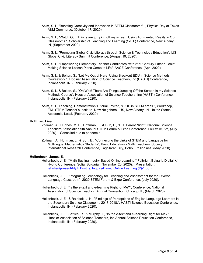- Asim, S. I., "Boosting Creativity and Innovation in STEM Classrooms", , Physics Day at Texas A&M Commerce, (October 17, 2020).
- Asim, S. I., "Watch Out! Things are jumping off my screen: Using Augmented Reality in Our Classrooms.", Scholarship of Teaching and Learning (SoTL) Conference, New Albany, IN, (September 2020).
- Asim, S. I., "Promoting Global Civic Literacy through Science & Technology Education", IUS Global Civic Literacy Summit Conference, (August 19, 2020).
- Asim, S. I., "Empowering Elementary Teacher Candidates' with 21st Century Edtech Tools: Making Science Lesson Plans Come to Life", AACE Conference, (April 2020).
- Asim, S. I., & Bolton, S., "Let Me Out of Here: Using Breakout EDU in Science Methods Coursework.", Hoosier Association of Science Teachers, Inc (HASTI) Conference, Indianapolis, IN, (February 2020).
- Asim, S. I., & Bolton, S., "Oh Wait! There Are Things Jumping Off the Screen in my Science Methods Course", Hoosier Association of Science Teachers, Inc (HASTI) Conference, Indianapolis, IN, (February 2020).
- Asim, S. I., Teaching, Demonstration/Tutorial, Invited, "SIOP in STEM areas.", Workshop, ENL STEM Teacher's Institute, New Neighbors, IUS, New Albany, IN, United States, Academic, Local. (February 2020).

#### **Hoffman, Lisa**

- Zollman, A., Hughes, M. E., Hoffman, L., & Suh, E., "ELL Parent Night", National Science Teachers Association 9th Annual STEM Forum & Expo Conference, Louisville, KY, (July 2020). Cancelled due to pandemic.
- Zollman, A., Hoffman, L., & Suh, E., "Connecting the Links of STEM and Language for Multilingual Mathematics Students", Basic Education - Math Teachers' Society International Research Conference, Tagbilaran City, Bohol, Philippines, (May 2020).

#### **Hollenbeck, James E.**

- Hollenbeck, J. E., "Myth Busting Inquiry-Based Online Learning," Fulbright Bulgaria Digital +/- Hybrid Conference, Sofia, Bulgaria, (November 20, 2020). Presentation: iehollen/present/Myth Busting Inquiry-Based Online Learning (2)-1.pptx
- Hollenbeck, J. E., "Integrating Technology for Teaching and Assessment for the Diverse Language Classroom", 2020 STEM Forum & Expo Conference, (July 2020).
- Hollenbeck, J. E., "Is the e-text and e-learning Right for Me?", Conference, National Association of Science Teaching Annual Convention, Chicago, IL, (March 2020).
- Hollenbeck, J. E., & Rainbolt, L. K., "Findings of Perceptions of English Language Learners in the Secondary Science Classrooms 2017-2018.", HASTI Science Education Conference, Indianapolis, IN, (February 2020).
- Hollenbeck, J. E., Settles, R., & Murphy, J., "Is the e-text and e-learning Right for Me?", Hoosier Association of Science Teachers, Inc Annual Science Education Conference, Indianapolis, IN, (February 2020).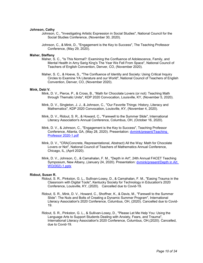#### **Johnson, Cathy**

- Johnson, C., "Investigating Artistic Expression in Social Studies", National Council for the Social Studies Conference, (November 30, 2020).
- Johnson, C., & Mink, D., "Engagement is the Key to Success", The Teaching Professor Conference, (May 29, 2020).

#### **Maher, Steffany**

- Maher, S. C., "Is This Normal?: Examining the Confluence of Adolescence, Family, and Mental Health in Amy Sarig King's The Year We Fell From Space", National Council of Teachers of English Convention, Denver, CO, (November 2020).
- Maher, S. C., & Hoeve, S., "The Confluence of Identity and Society: Using Critical Inquiry Circles to Examine YA Literature and our World", National Council of Teachers of English Convention, Denver, CO, (November 2020).

#### **Mink, Debi V.**

- Mink, D. V., Pierce, P., & Cross, B., "Math for Chocolate Lovers (or not): Teaching Math through Thematic Units", KDP 2020 Convocation, Louisville, KY, (November 5, 2020).
- Mink, D. V., Singleton, J. J., & Johnson, C., "Our Favorite Things: History, Literacy and Mathematics", KDP 2020 Convocation, Louisville, KY, (November 4, 2020).
- Mink, D. V., Ridout, S. R., & Howard, C., "Farewell to the Summer Slide", International Literacy Association's Annual Conference, Columbus, OH, (October 16, 2020).
- Mink, D. V., & Johnson, C., "Engagement is the Key to Success", Teaching Professor Conference, Atlanta, GA, (May 28, 2020). Presentation: [dvmink/present/Teaching](https://www.digitalmeasures.com/login/indiana/faculty/survey/ui/showFile?file=ZHZtaW5rL3ByZXNlbnQvVGVhY2hpbmcgUHJvZmVzc29yIDIwMjAtMS5wZGY%3D&surId=17691035&nodeId=1610663&sdId=95621248&sdSurId=17691035&rptId=20237&ver=2&sgntr=BslBGEMZ7UNKN629OO4jJabDuYY%3D)  [Professor 2020-1.pdf](https://www.digitalmeasures.com/login/indiana/faculty/survey/ui/showFile?file=ZHZtaW5rL3ByZXNlbnQvVGVhY2hpbmcgUHJvZmVzc29yIDIwMjAtMS5wZGY%3D&surId=17691035&nodeId=1610663&sdId=95621248&sdSurId=17691035&rptId=20237&ver=2&sgntr=BslBGEMZ7UNKN629OO4jJabDuYY%3D)
- Mink, D. V., "CRA(Concrete, Representational, Abstract) All the Way: Math for Chocolate Lovers or Not", National Council of Teachers of Mathematics Annual Conference, Chicago, IL, (April 2020).
- Mink, D. V., Johnson, C., & Camahalan, F. M., "Depth in Art", 24th Annual FACET Teaching Symposium, New Albany, (January 24, 2020). Presentation: [dvmink/present/Depth in Art](https://www.digitalmeasures.com/login/indiana/faculty/survey/ui/showFile?file=ZHZtaW5rL3ByZXNlbnQvRGVwdGggaW4gQXJ0IFdPKDAwMiktMS5wcHR4&surId=17691035&nodeId=1610663&sdId=97506330&sdSurId=17691035&rptId=20237&ver=2&sgntr=Anrv4Zovmc22%2BnQkCTC5n7CgRt4%3D)  [WO\(002\)-1.pptx](https://www.digitalmeasures.com/login/indiana/faculty/survey/ui/showFile?file=ZHZtaW5rL3ByZXNlbnQvRGVwdGggaW4gQXJ0IFdPKDAwMiktMS5wcHR4&surId=17691035&nodeId=1610663&sdId=97506330&sdSurId=17691035&rptId=20237&ver=2&sgntr=Anrv4Zovmc22%2BnQkCTC5n7CgRt4%3D)

#### **Ridout, Susan R.**

- Ridout, S. R., Pinkston, G. L., Sullivan-Losey, D., & Camahalan, F. M., "Easing Trauma in the Classroom with Digital Tools", Kentucky Society for Technology in Education's 2020 Conference, Louisville, KY, (2020). Cancelled due to Covid-19.
	- Ridout, S. R., Mink, D. V., Howard, C., Shoffner, K., & Davis, M., "Farewell to the Summer Slide": The Nuts and Bolts of Creating a Dynamic Summer Program", International Literacy Association's 2020 Conference, Columbus, OH, (2020). Cancelled due to Covid-19.
	- Ridout, S. R., Pinkston, G. L., & Sullivan-Losey, D., "Please Let Me Help You: Using the Language Arts to Support Students Dealing with Anxiety, Fears, and Trauma", International Literacy Association's 2020 Conference, Columbus, OH,(2020). Cancelled, due to Covid-19.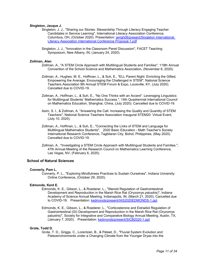## **Singleton, Jacque J.**

- Singleton, J. J., "Sharing our Stories: Stewardship Through Literacy Engaging Teacher Candidates in Service Learning", International Literacy Association Conference, Columbus, OH, (October 2020). Presentation: [jwrigh06/present/Singleton International](https://www.digitalmeasures.com/login/indiana/faculty/survey/ui/showFile?file=andyaWdoMDYvcHJlc2VudC9TaW5nbGV0b24gSW50ZXJuYXRpb25hbCBMaXRlcmFjeSBBc3NvY2lhdGlvbiBJbnRlcm5hdGlvbmFsIENvbmZlcmVuY2UgUHJvcG9zYWwtMS5wZGY%3D&surId=17691042&nodeId=1610663&sdId=104766227&sdSurId=17691042&rptId=20237&ver=2&sgntr=%2FG6IhuhoPp9UTgm29IGAliYYsig%3D)  [Literacy Association International Conference Proposal-1.pdf](https://www.digitalmeasures.com/login/indiana/faculty/survey/ui/showFile?file=andyaWdoMDYvcHJlc2VudC9TaW5nbGV0b24gSW50ZXJuYXRpb25hbCBMaXRlcmFjeSBBc3NvY2lhdGlvbiBJbnRlcm5hdGlvbmFsIENvbmZlcmVuY2UgUHJvcG9zYWwtMS5wZGY%3D&surId=17691042&nodeId=1610663&sdId=104766227&sdSurId=17691042&rptId=20237&ver=2&sgntr=%2FG6IhuhoPp9UTgm29IGAliYYsig%3D)
- Singleton, J. J., "Innovation in the Classroom Panel Discussion", FACET Teaching Symposium, New Albany, IN, (January 24, 2020).

## **Zollman, Alan**

- Zollman, A., "A STEM Circle Approach with Multilingual Students and Families", 119th Annual Convention of the School Science and Mathematics Association, (November 6, 2020).
- Zollman, A., Hughes, M. E., Hoffman, L., & Suh, E., "ELL Parent Night: Enriching the Gifted, Empowering the Average, Encouraging the Challenged in STEM", National Science Teachers Association 9th Annual STEM Forum & Expo, Louisville, KY, (July 2020). Cancelled due to COVID-19.
- Zollman, A., Hoffman, L., & Suh, E., "No One Thinks with an Accent": Leveraging Linguistics for Multilingual Students' Mathematics Success.", 14th Quadrennial International Council on Mathematics Education, Shanghai, China, (July 2020). Cancelled due to COVID-19.
- Asim, S. I., & Zollman, A. "Answering the Call: Increasing the Quality and Quantity of STEM Teachers", National Science Teachers Association Inaugural STEM20: Virtual Event, (July 10, 2020).
- Zollman, A., Hoffman, L., & Suh, E., "Connecting the Links of STEM and Language for Multilingual Mathematics Students", 2020 Basic Education - Math Teacher's Society International Research Conference, Tagbilaran City, Bohol, Philippines, (May 2020). Cancelled due to COVID-19.
- Zollman, A., "Investigating a STEM Circle Approach with Multilingual Students and Families.", 47th Annual Meeting of the Research Council on Mathematics Learning Conference, Las Vegas, NV, (February 6, 2020).

## **School of Natural Sciences**

#### **Connerly, Pam L.**

Connerly, P. L., "Exploring Mindfulness Practices to Sustain Ourselves", Indiana University Online Conference, (October 29, 2020).

#### **Edmonds, Kent E.**

- Edmonds, K. E., Gibson, L., & Roederer, L., "Steroid Regulation of Gastrointestinal Development and Reproduction in the Marsh Rice Rat (Oryzomys palustris)", Indiana Academy of Science Annual Meeting, Indianapolis, IN, (March 21, 2020). Cancelled due to COVID-19. Presentation: [kedmonds/present/IAS2020EDMONDS-1.ppt](https://www.digitalmeasures.com/login/indiana/faculty/survey/ui/showFile?file=a2VkbW9uZHMvcHJlc2VudC9JQVMyMDIwRURNT05EUy0xLnBwdA%3D%3D&surId=17689456&nodeId=1610663&sdId=105870921&sdSurId=17689456&rptId=20237&ver=2&sgntr=MQ%2F1zkadu3SWGyJywop5mb%2ByLMY%3D)
- Edmonds, K. E., Gibson, L., & Roederer, L., "Corticosterone and Estradiol Regulation of Gastrointestinal (GI) Development and Reproduction in the Marsh Rice Rat (Oryzomys palustris)", Society for Integrative and Comparative Biology Annual Meeting, Austin, TX, (January 7, 2020). Presentation: [kedmonds/present/SICB2020-1.ppt](https://www.digitalmeasures.com/login/indiana/faculty/survey/ui/showFile?file=a2VkbW9uZHMvcHJlc2VudC9TSUNCMjAyMC0xLnBwdA%3D%3D&surId=17689456&nodeId=1610663&sdId=68993863&sdSurId=17689456&rptId=20237&ver=2&sgntr=oPgTJNT0TUnWqme1UN0UnvN9Sjw%3D)

#### **Grote, Todd D.**

Grote, T. D., Griggs, C., Lorentzen, B., & Peteet, D., "Fluvial System Evolution and Paleoenvironments under a Changing Climate from the Younger Dryas into the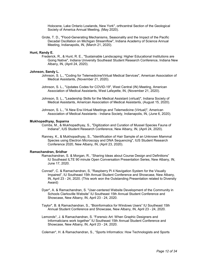Holocene, Lake Ontario Lowlands, New York", orthcentral Section of the Geological Society of America Annual Meeting, (May 2020).

Grote, T. D., "Flood-Generating Mechanisms, Seasonality and the Impact of the Pacific Decadal Oscillation on Michigan Streamflow", Indiana Academy of Science Annual Meeting, Indianapolis, IN, (March 21, 2020).

#### **Hunt, Randy E.**

Frederick, R., & Hunt, R. E., "Sustainable Landscaping: Higher Educational Institutions are Going Native", Indiana University Southeast Student Research Conference, Indiana New Albany, IN, (April 24, 2020).

## **Johnson, Sandy L.**

- Johnson, S. L., "Coding for Telemedicine/Virtual Medical Services", American Association of Medical Assistants, (November 21, 2020).
- Johnson, S. L., "Updates Codes for COVID-19", West Central (IN) Meeting, American Association of Medical Assistants, West Lafayette, IN, (November 21, 2020).
- Johnson, S. L., "Leadership Skills for the Medical Assistant (virtual)", Indiana Society of Medical Assistants, American Association of Medical Assistants, (August 15, 2020).
- Johnson, S. L., "A New Era-Virtual Meetings and Telemedicine (Virtual)", American Association of Medical Assistants - Indiana Society, Indianapolis, IN, (June 6, 2020).

#### **Mukhopadhyay, Suparna**

- Combs, M., & Mukhopadhyay, S., "Digitization and Curation of Mussel Species Fauna of Indiana", IUS Student Research Conference, New Albany, IN, (April 24, 2020).
- Ranney, K., & Mukhopadhyay, S., "Identification of Hair Sample of an Unknown Mammal Species using Electron Microscopy and DNA Sequencing", IUS Student Research Conference 2020, New Albany, IN, (April 23, 2020).

#### **Ramachandran, Sridhar**

- Ramachandran, S. & Morgan, R., "Sharing Ideas about Course Design and Definitions" IU Southeast ILTE 90 minute Open Conversation Presentation Series, New Albany, IN, June 17, 2020.
- Conrad\*, C. & Ramachandran, S, "Raspberry Pi 4 Navigation System for the Visually Impaired", IU Southeast 15th Annual Student Conference and Showcase, New Albany, IN, April 23 - 24, 2020. (This work won the Outstanding Presentation related to Diversity Award)
- Dyer\*, A. & Ramachandran, S. "User-centered Website Development of the Community in Schools Clarksville Website" IU Southeast 15th Annual Student Conference and Showcase, New Albany, IN, April 23 - 24, 2020.
- Taylor\*, B. & Ramachandran, S., "Bioinformatics for Windows Users" IU Southeast 15th Annual Student Conference and Showcase, New Albany, IN, April 23 - 24, 2020.
- Lemonds\*, J. & Ramachandran, S. "Forensic Art: When Graphic Designers and Informaticians work together" IU Southeast 15th Annual Student Conference and Showcase, New Albany, IN, April 23 - 24, 2020.

Coleman\*, H. & Ramachandran, S., "Sports Informatics: How Technologists and Sports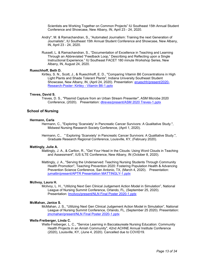Scientists are Working Together on Common Projects" IU Southeast 15th Annual Student Conference and Showcase, New Albany, IN, April 23 - 24, 2020.

- Andry\*, M. & Ramachandran, S., "Automated Journalism: Training the next Generation of Journalists", IU Southeast 15th Annual Student Conference and Showcase, New Albany, IN, April 23 - 24, 2020.
- Russell, L. & Ramachandran, S., "Documentation of Excellence in Teaching and Learning Through an Abbreviated "Feedback Loop," Describing and Reflecting upon a Single Instructional Experience." IU Southeast FACET 180 minute Workshop Series, New Albany, IN, August 24, 2020.

## **Rueschhoff, Beth D.**

Kirtley, S. N., Scott, J., & Rueschhoff, E. D., "Comparing Vitamin B6 Concentrations in High Light Plants and Shade Tolerant Plants", Indiana University Southeast Student Showcase, New Albany, IN, (April 24, 2020). Presentation: [erueschh/present/2020-](https://www.digitalmeasures.com/login/indiana/faculty/survey/ui/showFile?file=ZXJ1ZXNjaGgvcHJlc2VudC8yMDIwLVJlc2VhcmNoLVBvc3Rlci0gS2lydGxleSAtIFZpdGFtaW4gQjYtMS5wcHR4&surId=17689446&nodeId=1610663&sdId=105854049&sdSurId=17689446&rptId=20237&ver=2&sgntr=P5jfvYQuJB8%2FopOKfEEeM08%2FwYY%3D) Research-Poster- Kirtley - [Vitamin B6-1.pptx](https://www.digitalmeasures.com/login/indiana/faculty/survey/ui/showFile?file=ZXJ1ZXNjaGgvcHJlc2VudC8yMDIwLVJlc2VhcmNoLVBvc3Rlci0gS2lydGxleSAtIFZpdGFtaW4gQjYtMS5wcHR4&surId=17689446&nodeId=1610663&sdId=105854049&sdSurId=17689446&rptId=20237&ver=2&sgntr=P5jfvYQuJB8%2FopOKfEEeM08%2FwYY%3D)

#### **Treves, David S.**

Treves, D. S., "Plasmid Capture from an Urban Stream Presenter", ASM Microbe 2020 Conference, (2020). Presentation: [dtreves/present/ASM 2020 Treves-1.pptx](https://www.digitalmeasures.com/login/indiana/faculty/survey/ui/showFile?file=ZHRyZXZlcy9wcmVzZW50L0FTTSAyMDIwIFRyZXZlcy0xLnBwdHg%3D&surId=17689443&nodeId=1610663&sdId=105693161&sdSurId=17689443&rptId=20237&ver=2&sgntr=%2F%2F7PldlhzdMe685qYDbORAQ5%2BJI%3D)

## **School of Nursing**

### **Hermann, Carla**

- Hermann, C., "Exploring 'Scanxiety' in Pancreatic Cancer Survivors: A Qualitative Study.", Midwest Nursing Research Society Conference, (April 1, 2020).
- Hermann, C., " Exploring 'Scanxiety' in Pancreatic Cancer Survivors: A Qualitative Study.", Graduate Research Regional Conference, Louisville, KY, (February 2020).

#### **Mattingly, Julie A.**

Mattingly, J. A., & Carlton, R., "Get Your Head in the Clouds: Using Word Clouds in Teaching and Assessment", IUS ILTE Conference, New Albany, IN (October 8, 2020).

Mattingly, J. A., "Serving the Underserved: Teaching Nursing Students Through Community Health Promotion", Teaching Prevention 2020: Fostering Population Health & Advancing Prevention Science Conference, San Antonio, TX, (March 4, 2020). Presentation: [jumattin/present/APTR Presentation MATTINGLY-1.pptx](https://www.digitalmeasures.com/login/indiana/faculty/survey/ui/showFile?file=anVtYXR0aW4vcHJlc2VudC9BUFRSIFByZXNlbnRhdGlvbiBNQVRUSU5HTFktMS5wcHR4&surId=17689426&nodeId=1610663&sdId=107121188&sdSurId=17689426&rptId=20237&ver=2&sgntr=SmlqU3HOv3%2Bfr2AvCt7dDR3k5rQ%3D)

## **McIlvoy, Laura H.**

Mcilvoy, L. H., "Utilizing Next Gen Clinical Judgement Action Model in Simulation", National League of Nursing Summit Conference, Orlando, FL, (September 25, 2020). Presentation: [lmcilvoy/present/NLN Final Poster 2020-1.pptx](https://www.digitalmeasures.com/login/indiana/faculty/survey/ui/showFile?file=bG1jaWx2b3kvcHJlc2VudC9OTE4gRmluYWwgUG9zdGVyIDIwMjAtMS5wcHR4&surId=17689428&nodeId=1610663&sdId=106049749&sdSurId=17689428&rptId=20237&ver=2&sgntr=ry4f7DGcWMReIDDj50D8OyL9oD8%3D)

### **McMahan, Janice S.**

McMahan, J. S., "Utilizing Next Gen Clinical Judgement Action Model in Simulation", National League of Nursing Summit Conference, Orlando, FL, (September 25 2020). Presentation: [jmcmahan/present/NLN Final Poster 2020-1.pptx](https://www.digitalmeasures.com/login/indiana/faculty/survey/ui/showFile?file=am1jbWFoYW4vcHJlc2VudC9OTE4gRmluYWwgUG9zdGVyIDIwMjAtMS5wcHR4&surId=17689423&nodeId=1610663&sdId=106075309&sdSurId=17689423&rptId=20237&ver=2&sgntr=5QamkwPGBv8%2FePZP%2F8m2Yi53vIU%3D)

## **Wells-Freiberger, Linda C.**

Wells-Freiberger, L. C., "Service Learning in Baccalaureate Nursing Education: Community Health Projects in an Amish Community", 42nd ACHNE Annual Institute Conference (2020), Louisville, KY, (June 4, 2020). Cancelled due to COVID19.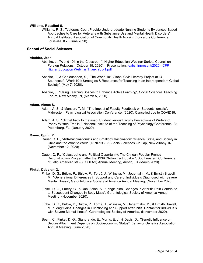## **Williams, Rosalind S.**

Williams, R. S., "Veterans Court Provide Undergraduate Nursing Students Evidenced-Based Approaches to Care for Veterans with Substance Use and Mental Health Disorders", Annual Institute / Association of Community Health Nursing Educators Conference, Louisville, KY, (June 2020).

## **School of Social Sciences**

## **Abshire, Jean**

- Abshire, J., "World 101 in the Classroom", Higher Education Webinar Series, Council on Foreign Relations, (October 15, 2020). Presentation: [jeabshir/present/2020 -](https://www.digitalmeasures.com/login/indiana/faculty/survey/ui/showFile?file=amVhYnNoaXIvcHJlc2VudC8yMDIwIC0gQ0ZSIEhpZ2hlciBFZHVjYXRpb24gV2ViaW5hciBUaGFuayBZb3UtMS5wZGY%3D&surId=17689300&nodeId=1610663&sdId=105971013&sdSurId=17689300&rptId=20237&ver=2&sgntr=8M7xxqEyN4BgoiXjSQ0bHVaUOYI%3D) CFR **[Higher Education Webinar Thank You-1.pdf](https://www.digitalmeasures.com/login/indiana/faculty/survey/ui/showFile?file=amVhYnNoaXIvcHJlc2VudC8yMDIwIC0gQ0ZSIEhpZ2hlciBFZHVjYXRpb24gV2ViaW5hciBUaGFuayBZb3UtMS5wZGY%3D&surId=17689300&nodeId=1610663&sdId=105971013&sdSurId=17689300&rptId=20237&ver=2&sgntr=8M7xxqEyN4BgoiXjSQ0bHVaUOYI%3D)**
- Abshire, J., & Chaleunphon, S., "The World 101 Global Civic Literacy Project at IU Southeast", "World101: Strategies & Resources for Teaching in an Interdependent Global Society", (May 7, 2020).
- Abshire, J., "Using Learning Spaces to Enhance Active Learning", Social Sciences Teaching Forum, New Albany, IN, (March 5, 2020).

## **Adam, Aimee S.**

- Adam, A. S., & Manson, T. M., "The Impact of Faculty Feedback on Students' emails", Midwestern Psychological Association Conference, (2020). Cancelled due to COVID19.
- Adam, A. S., "plz get back to me asap: Student versus Faculty Perceptions of Writers of Poorly-Written Emails.", National Institute of the Teaching of Psychology Conference, St Petersburg, FL, (January 2020).

#### **Dauer, Quinn P.**

- Dauer, Q. P., "Anti-Vaccinationists and Smallpox Vaccination: Science, State, and Society in Chile and the Atlantic World (1870-1930).", Social Sciences On Tap, New Albany, IN, (November 12, 2020).
- Dauer, Q. P., "Catastrophe and Political Opportunity: The Chilean Popular Front's Reconstruction Program after the 1939 Chillán Earthquake.", Southeastern Conference of Latin Americanists (SECOLAS) Annual Meeting, Austin, TX,(March 2020).

#### **Finkel, Deborah G.**

- Finkel, D. G., Bülow, P., Bülow, P., Torgé, J., Wilińska, M., Jegemalm, M., & Ernsth Bravell, M., "Generational Differences in Support and Care of Individuals Diagnosed with Severe Mental Illness", Gerontological Society of America Annual Meeting, (November 2020).
- Finkel, D. G., Emery, C., & Dahl Aslan, A., "Longitudinal Changes in Arthritis Pain Contribute to Subsequent Changes in Body Mass", Gerontological Society of America Annual Meeting, (November 2020).
- Finkel, D. G., Bülow, P., Bülow, P., Torgé, J., Wilińska, M., Jegermalm, M., & Ernsth Bravell, M., "Longitudinal Changes in Functioning and Support after Initial Contact for Individuals with Severe Mental Illness", Gerontological Society of America, (November 2020).
- Beam, C., Finkel, D. G., Giangrande, E., Morris, E. J., & Davis, D., "Genetic Influence on Secure Attachment Depends on Socioeconomic Status", Behavior Genetics Association Annual Meeting, (June 2020).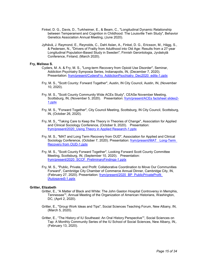- Finkel, D. G., Davis, D., Turkheimer, E., & Beam, C., "Longitudinal Dynamic Relationship between Temperament and Cognition in Childhood: The Louisville Twin Study", Behavior Genetics Association Annual Meeting, (June 2020).
- Jylhävä, J. Raymond, E., Reynolds, C., Dahl Aslan, A., Finkel, D. G., Ericsson, M., Hägg, S., & Pedersen, N., "Drivers of Frailty from Adulthood into Old Age: Results from a 27-year Longitudinal Population-Based Study in Sweden", Finnish Gerontologia, Jyväskylä Conference, Finland, (March 2020).

#### **Fry, Melissa S.**

- Cyders, M. A. & Fry, M. S., "Long-term Recovery from Opioid Use Disorder", Seminar, Addiction Psychiatry Symposia Series, Indianapolis, IN, (December 7, 2020). Presentation: [frym/present/CydersFry\\_AddictionPsychiatry\\_Dec2020\\_edits-1.pptx](https://www.digitalmeasures.com/login/indiana/faculty/survey/ui/showFile?file=ZnJ5bS9wcmVzZW50L0N5ZGVyc0ZyeV9BZGRpY3Rpb25Qc3ljaGlhdHJ5X0RlYzIwMjBfZWRpdHMtMS5wcHR4&surId=17689296&nodeId=1610663&sdId=103936375&sdSurId=17689296&rptId=20237&ver=2&sgntr=z1mqs8oGLv1EoSRrXQv9C2hrx2A%3D)
- Fry, M. S., "Scott County: Forward Together", Austin, IN City Council, Austin, IN, (November 10, 2020).
- Fry, M. S., "Scott County Community Wide ACEs Study", CEASe November Meeting, Scottsburg, IN, (November 5, 2020). Presentation: [frym/present/ACEs factsheet slides2-](https://www.digitalmeasures.com/login/indiana/faculty/survey/ui/showFile?file=ZnJ5bS9wcmVzZW50L0FDRXMgZmFjdHNoZWV0IHNsaWRlczItMS5wcHR4&surId=17689296&nodeId=1610663&sdId=106014806&sdSurId=17689296&rptId=20237&ver=2&sgntr=biqJ5dWBwH7pFIRzkSFJERwrYII%3D) [1.pptx](https://www.digitalmeasures.com/login/indiana/faculty/survey/ui/showFile?file=ZnJ5bS9wcmVzZW50L0FDRXMgZmFjdHNoZWV0IHNsaWRlczItMS5wcHR4&surId=17689296&nodeId=1610663&sdId=106014806&sdSurId=17689296&rptId=20237&ver=2&sgntr=biqJ5dWBwH7pFIRzkSFJERwrYII%3D)
- Fry, M. S., "Forward Together", City Council Meeting, Scottsburg, IN City Council, Scottsburg, IN, (October 26, 2020).
- Fry, M. S., "Taking Care to Keep the Theory in Theories of Change", Association for Applied and Clinical Sociology Conference, (October 9, 2020). Presentation: [frym/present/2020\\_Using Theory in Applied Research-1.pptx](https://www.digitalmeasures.com/login/indiana/faculty/survey/ui/showFile?file=ZnJ5bS9wcmVzZW50LzIwMjBfVXNpbmcgVGhlb3J5IGluIEFwcGxpZWQgUmVzZWFyY2gtMS5wcHR4&surId=17689296&nodeId=1610663&sdId=106014693&sdSurId=17689296&rptId=20237&ver=2&sgntr=BLoM2QU9IraWOgN3D4SkvzK57Xw%3D)
- Fry, M. S., "MAT and Long Term Recovery from OUD", Association for Applied and Clinical Sociology Conference, (October 7, 2020). Presentation: [frym/present/MAT Long-Term](https://www.digitalmeasures.com/login/indiana/faculty/survey/ui/showFile?file=ZnJ5bS9wcmVzZW50L01BVCAgTG9uZy1UZXJtIFJlY292ZXJ5IGZyb20gT1VELTEucHB0eA%3D%3D&surId=17689296&nodeId=1610663&sdId=106014732&sdSurId=17689296&rptId=20237&ver=2&sgntr=J%2FYuxM9FhTVOmjHBlSKFOVfIzSg%3D)  [Recovery from OUD-1.pptx](https://www.digitalmeasures.com/login/indiana/faculty/survey/ui/showFile?file=ZnJ5bS9wcmVzZW50L01BVCAgTG9uZy1UZXJtIFJlY292ZXJ5IGZyb20gT1VELTEucHB0eA%3D%3D&surId=17689296&nodeId=1610663&sdId=106014732&sdSurId=17689296&rptId=20237&ver=2&sgntr=J%2FYuxM9FhTVOmjHBlSKFOVfIzSg%3D)
- Fry, M. S., "Scott County Forward Together", Looking Forward Scott County Committee Meeting, Scottsburg, IN, (September 10, 2020). Presentation: [frym/present/2020\\_SCCF\\_PreliminaryFindings-1.pptx](https://www.digitalmeasures.com/login/indiana/faculty/survey/ui/showFile?file=ZnJ5bS9wcmVzZW50LzIwMjBfU0NDRl9QcmVsaW1pbmFyeUZpbmRpbmdzLTEucHB0eA%3D%3D&surId=17689296&nodeId=1610663&sdId=106014920&sdSurId=17689296&rptId=20237&ver=2&sgntr=XKbXXJ9A2YGCrPtDp2utNArPc2k%3D)
- Fry, M. S., "Public, Private, and Profit: Collaborative Coordination to Move Our Communities Forward", Cambridge City Chamber of Commerce Annual Dinner, Cambridge City, IN, (February 27, 2020). Presentation: [frym/present/2020\\_BP\\_PublicPrivateProfit](https://www.digitalmeasures.com/login/indiana/faculty/survey/ui/showFile?file=ZnJ5bS9wcmVzZW50LzIwMjBfQlBfUHVibGljUHJpdmF0ZVByb2ZpdCBbQXV0b3NhdmVkXS0xLnBwdHg%3D&surId=17689296&nodeId=1610663&sdId=98237112&sdSurId=17689296&rptId=20237&ver=2&sgntr=Fp6eva52%2BaEFU%2BFt1rlSXu7tDWQ%3D)  [\[Autosaved\]-1.pptx](https://www.digitalmeasures.com/login/indiana/faculty/survey/ui/showFile?file=ZnJ5bS9wcmVzZW50LzIwMjBfQlBfUHVibGljUHJpdmF0ZVByb2ZpdCBbQXV0b3NhdmVkXS0xLnBwdHg%3D&surId=17689296&nodeId=1610663&sdId=98237112&sdSurId=17689296&rptId=20237&ver=2&sgntr=Fp6eva52%2BaEFU%2BFt1rlSXu7tDWQ%3D)

#### **Gritter, Elizabeth**

- Gritter, E., "A Matter of Black and White: The John Gaston Hospital Controversy in Memphis, Tennessee"", Annual Meeting of the Organization of American Historians, Washington, DC, (April 2, 2020).
- Gritter, E., "Group Work Ideas and Tips", Social Sciences Teaching Forum, New Albany, IN, (March 5, 2020).
- Gritter, E., "The History of IU Southeast: An Oral History Perspective"", Social Sciences on Tap: A Monthly Community Series of the IU School of Social Sciences, New Albany, IN,. (February 13, 2020).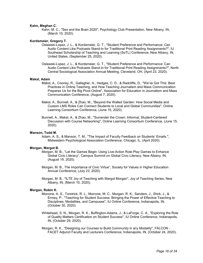#### **Kahn, Meghan C.**

Kahn, M. C., "Sex and the Brain 2020", Psychology Club Presentation, New Albany, IN, (March 10, 2020).

#### **Kordsmeier, Gregory T.**

- Oslawski-Lopez, J. L., & Kordsmeier, G. T., "Student Preference and Performance: Can Audio Content Like Podcasts Stand-In for Traditional Print Reading Assignments?", IU Southeast Scholarship of Teaching and Learning (SoTL) Conference, New Albany, IN, United States. (September 25, 2020).
- Oslawski-Lopez, J. L., & Kordsmeier, G. T., "Student Preference and Performance: Can Audio Content Like Podcasts Stand-In for Traditional Print Reading Assignments?", North Central Sociological Association Annual Meeting, Cleveland, OH, (April 23, 2020).

#### **Maksl, Adam**

- Maksl, A., Cooney, R., Gallagher, A., Hedges, C. D., & Radcliffe, D., "We've Got This: Best Practices in Online Teaching, and How Teaching Journalism and Mass Communication Prepares Us for the Big Pivot Online", Association for Education in Journalism and Mass Communication Conference, (August 7, 2020).
- Maksl, A., Bunnell, A., & Zhao, M., "Beyond the Walled Garden: How Social Media and Custom LMS Roles Can Connect Students to Local and Global Communities", Online Learning Consortium Conference, (June 15, 2020).
- Bunnell, A., Maksl, A., & Zhao, M., "Surrender the Crown: Informal, Student-Centered Discussion with Course Networking", Online Learning Consortium Conference, (June 15, 2020).

#### **Manson, Todd M.**

Adam, A. S., & Manson, T. M., "The Impact of Faculty Feedback on Students' Emails.", Midwestern Psychological Association Conference, Chicago, IL, (April 2020).

#### **Morgan, Margot B.**

- Morgan, M. B., "Let the Games Begin: Using Live-Action Role-Play Games to Enhance Global Civic Literacy", Campus Summit on Global Civic Literacy, New Albany, IN, (August 19, 2020).
- Morgan, M. B., The Importance of Civic Virtue", Society for Values in Higher Education Annual Conference, (July 23, 2020).
- Morgan, M. B., "ILTE Joy of Teaching with Margot Morgan", Joy of Teaching Series, New Albany, IN, (March 10, 2020).

#### **Morgan, Robin K.**

- Morrone, A. S., Torstrick, R. L., Morrone, M. C., Morgan, R. K., Sanders, J., Shirk, J., & Ermey, P., "Teaching for Student Success: Bringing the Power of Effective Teaching to Disciplines, Modalities, and Campuses", IU Online Conference, Indianapolis, IN, (October 30, 2020).
- Whitehead, S. N., Morgan, R. K., Buffington-Adams, J., & LaForge, C. A., "Exploring the Role of Quality Matters Certification on Student Success", IU Online Conference, Indianapolis, IN, (October 29, 2020).
- Morgan, R. K., "Designing our Courses to Build Community in any Modality", FALCON FACET Adjunct Faculty and Lecturers Conference, Indianapolis, IN, (October 24, 2020).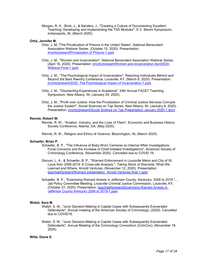Morgan, R. K., Shirk, J., & Sanders, J., "Creating a Culture of Documenting Excellent Teaching: Developing and Implementing the TSS Modules", E.C. Moore Symposium, Indianapolis, IN, (March 2020).

## **Ortiz, Jennifer M.**

- Ortiz, J. M.,"The Privatization of Prisons in the United States", National Benevolent Association Webinar Series, (October 15, 2020). Presentation: [jmortiz/present/Privatization of Prisons-1.pptx](https://www.digitalmeasures.com/login/indiana/faculty/survey/ui/showFile?file=am1vcnRpei9wcmVzZW50L1ByaXZhdGl6YXRpb24gb2YgUHJpc29ucy0xLnBwdHg%3D&surId=17829050&nodeId=1610663&sdId=105180734&sdSurId=17829050&rptId=20237&ver=2&sgntr=JYMpQ0c3WRJc0St787utrydQb04%3D)
- Ortiz, J. M., "Women and Incarceration", National Benevolent Association Webinar Series, (April 16, 2020). Presentation: [jmortiz/present/Women-and-Incarceration-April2020-](https://www.digitalmeasures.com/login/indiana/faculty/survey/ui/showFile?file=am1vcnRpei9wcmVzZW50L1dvbWVuLWFuZC1JbmNhcmNlcmF0aW9uLUFwcmlsMjAyMC1XZWJpbmFyLUZpbmFsLTEucHB0eA%3D%3D&surId=17829050&nodeId=1610663&sdId=105178337&sdSurId=17829050&rptId=20237&ver=2&sgntr=97ICApPcfacndlajei9rvSCGWrE%3D) [Webinar-Final-1.pptx](https://www.digitalmeasures.com/login/indiana/faculty/survey/ui/showFile?file=am1vcnRpei9wcmVzZW50L1dvbWVuLWFuZC1JbmNhcmNlcmF0aW9uLUFwcmlsMjAyMC1XZWJpbmFyLUZpbmFsLTEucHB0eA%3D%3D&surId=17829050&nodeId=1610663&sdId=105178337&sdSurId=17829050&rptId=20237&ver=2&sgntr=97ICApPcfacndlajei9rvSCGWrE%3D)
- Ortiz, J. M., "The Psychological Impact of Incarceration", Reaching Individuals Behind and Beyond the Bars Reentry Conference, Louisville, KY, (March 6, 2020). Presentation: [jmortiz/present/2020\\_The Psychological Impact of Incarceration-1.pptx](https://www.digitalmeasures.com/login/indiana/faculty/survey/ui/showFile?file=am1vcnRpei9wcmVzZW50LzIwMjBfVGhlIFBzeWNob2xvZ2ljYWwgSW1wYWN0IG9mIEluY2FyY2VyYXRpb24tMS5wcHR4&surId=17829050&nodeId=1610663&sdId=105177838&sdSurId=17829050&rptId=20237&ver=2&sgntr=fw1Aihrr8XqtzBWstyM4IBTQSnw%3D)
- Ortiz, J. M., "Disorienting Experiences in Academia", 24th Annual FACET Teaching Symposium, New Albany, IN, (January 24, 2020).
- Ortiz, J. M., "Profit over Justice: How the Privatization of Criminal Justice Services Corrupts the Justice System", Social Sciences on Tap Series, New Albany, IN, (January 9, 2020). Presentation: jmortiz/present/Social Science [on Tap Presentation January 2020-1.docx](https://www.digitalmeasures.com/login/indiana/faculty/survey/ui/showFile?file=am1vcnRpei9wcmVzZW50L1NvY2lhbCBTY2llbmNlIG9uIFRhcCBQcmVzZW50YXRpb24gSmFudWFyeSAyMDIwLTEuZG9jeA%3D%3D&surId=17829050&nodeId=1610663&sdId=105176144&sdSurId=17829050&rptId=20237&ver=2&sgntr=Ari86r5doa3xUi9nL5yXo3kgzd4%3D)

## **Rennie, Robert W.**

Rennie, R. W., "Aviation, Industry, and the Lives of Fliers", Economic and Business History Society Conference, Atlanta, GA, (May 2020).

Rennie, R. W., Religion and Ethics of Violence, Bloomington, IN, (March 2020).

## **Schaefer, Brian P.**

- Schaefer, B. P., "The Influence of Body-Worn Cameras on Internal Affair Investigations: Focal Concerns and the Increase of Chief-Initiated Investigations", American Society of Criminology Conference, (November 2020). Cancelled due to COVID 19.
- Slocum, L. A., & Schaefer, B. P., "Warrant Enforcement in Louisville Metro and City of St. Louis from 2006-2019: A Cross-site Analysis.", Taking Stock of Warrants: What We Learned and Where, Arnold Ventures, (November 12, 2020). Presentation: [bpschaef/present/Warrant presentation\\_Arnold Ventures.final-1.pptx](https://www.digitalmeasures.com/login/indiana/faculty/survey/ui/showFile?file=YnBzY2hhZWYvcHJlc2VudC9XYXJyYW50IHByZXNlbnRhdGlvbl9Bcm5vbGQgVmVudHVyZXMuZmluYWwtMS5wcHR4&surId=18161289&nodeId=1610663&sdId=105673269&sdSurId=18161289&rptId=20237&ver=2&sgntr=yJrZj3NWMbyYMrlt4dV6xicQ9uQ%3D)
- Schaefer, B. P., "Examining Warrant Arrests in Jefferson County, Kentucky: 2006 to 2019.", , Jail Policy Committee Meeting, Louisville Criminal Justice Commission, Louisville, KY, (October 27, 2020). Presentation: [bpschaef/present/Examining Warrant Arrests in](https://www.digitalmeasures.com/login/indiana/faculty/survey/ui/showFile?file=YnBzY2hhZWYvcHJlc2VudC9FeGFtaW5pbmcgV2FycmFudCBBcnJlc3RzIGluIEplZmZlcnNvbiBDb3VudHkgS2VudHVja3kgMjAwNiB0byAyMDE5LTEucHB0eA%3D%3D&surId=18161289&nodeId=1610663&sdId=105673361&sdSurId=18161289&rptId=20237&ver=2&sgntr=XsYpPaotNXeOlXhDSlDSpI3ZHag%3D)  [Jefferson County Kentucky 2006 to 2019-1.pptx](https://www.digitalmeasures.com/login/indiana/faculty/survey/ui/showFile?file=YnBzY2hhZWYvcHJlc2VudC9FeGFtaW5pbmcgV2FycmFudCBBcnJlc3RzIGluIEplZmZlcnNvbiBDb3VudHkgS2VudHVja3kgMjAwNiB0byAyMDE5LTEucHB0eA%3D%3D&surId=18161289&nodeId=1610663&sdId=105673361&sdSurId=18161289&rptId=20237&ver=2&sgntr=XsYpPaotNXeOlXhDSlDSpI3ZHag%3D)

## **Walsh, Sara M.**

- Walsh, S. M., "Juror Decision-Making in Capital Cases with Subsequently Exonerated Defendants", Annual meeting of the American Society of Criminology, (2020). Cancelled due to COVID19.
- Walsh, S. M., "Juror Decision-Making in Capital Cases with Subsequently Exonerated Defendants", Annual Meeting of the Criminology Consortium (CrimCon), (November 18, 2020).

#### **Wille, Diane E.**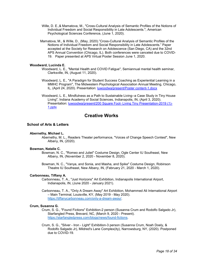- Wille, D. E.,& Mamatova, M., "Cross-Cultural Analysis of Semantic Profiles of the Notions of Individual Freedom and Social Responsibility in Late Adolescents.", American Psychological Sciences Conference, (June 1, 2020).
- Mamatova, M., & Wille, D., (May, 2020)."Cross-Cultural Analysis of Semantic Profiles of the Notions of Individual Freedom and Social Responsibility in Late Adolescents." Paper accepted at the Society for Research on Adolescence (San Diego, CA) and the 32nd APS Annual Convention (Chicago, IL). Both conferences were canceled due to COVID-19. Paper presented at APS Virtual Poster Session June 1, 2020.

## **Woodward, Lucinda E.**

- Woodward, L. E., "Mental Health and COVID Fatigue", Semiannual mental health seminar, Clarksville, IN, (August 11, 2020).
	- Woodward, L. E., "A Paradigm for Student Success Coaching as Experiential Learning in a MMHC Program", The Midwestern Psychological Association Annual Meeting, Chicago, IL, (April 24, 2020). Presentation: [luwoodwa/present/Poster content-1.docx](https://www.digitalmeasures.com/login/indiana/faculty/survey/ui/showFile?file=bHV3b29kd2EvcHJlc2VudC9Qb3N0ZXIgY29udGVudC0xLmRvY3g%3D&surId=17689302&nodeId=1610663&sdId=105713807&sdSurId=17689302&rptId=20237&ver=2&sgntr=XYldyIOuRbnTjHowRXpS1%2BGh9KA%3D)
	- Woodward, L. E., Mindfulness as a Path to Sustainable Living--a Case Study in Tiny House Living", Indiana Academy of Social Sciences, Indianapolis, IN, (April 3, 2020). Presentation: [luwoodwa/present/200 Square Foot-](https://www.digitalmeasures.com/login/indiana/faculty/survey/ui/showFile?file=bHV3b29kd2EvcHJlc2VudC8yMDAgU3F1YXJlIEZvb3QtIExpdmluZyBUaW55IFByZXNlbnRhdGlvbi0yMDE5ICgxKS0xLnBwdHg%3D&surId=17689302&nodeId=1610663&sdId=105714003&sdSurId=17689302&rptId=20237&ver=2&sgntr=6warsWJ2dajdgWZDkBbU5fXMZSo%3D) Living Tiny Presentation-2019 (1)- [1.pptx](https://www.digitalmeasures.com/login/indiana/faculty/survey/ui/showFile?file=bHV3b29kd2EvcHJlc2VudC8yMDAgU3F1YXJlIEZvb3QtIExpdmluZyBUaW55IFByZXNlbnRhdGlvbi0yMDE5ICgxKS0xLnBwdHg%3D&surId=17689302&nodeId=1610663&sdId=105714003&sdSurId=17689302&rptId=20237&ver=2&sgntr=6warsWJ2dajdgWZDkBbU5fXMZSo%3D)

## **Creative Works**

## **School of Arts & Letters**

#### **Abernethy, Michael L.**

Abernethy, M. L., Readers Theater performance, "Voices of Change Speech Contest", New Albany, IN, (2020).

#### **Bowman, Natalie C.**

Bowman, N. C., "Romeo and Juliet" Costume Design, Ogle Center IU Southeast, New Albany, IN, (November 2, 2020 - November 8, 2020).

Bowman, N. C., "Vanya, and Sonia, and Masha, and Spike" Costume Design, Robinson Theatre IU Southeast, New Albany, IN, (February 21, 2020 - March 1, 2020).

## **Carbonneau, Tiffany A.**

- Carbonneau, T. A., "Just Horizons" Art Exhibition, Indianapolis International Airport, Indianapolis, IN, (June 2020 - January 2021).
- Carbonneau, T. A., "Only A Dream Away" Art Exhibition, Mohammed Ali International Airport – Main Terminal, Louisville, KY, (May 2019 - May 2020). [https://tiffanycarbonneau.com/only-a-dream-away/.](https://tiffanycarbonneau.com/only-a-dream-away/)

#### **Crum, Susanna G.**

- Crum, S. G., "Found Fictions" Exhibition-2 person (Susanna Crum and Rodolfo Salgado Jr), Starfangled Press, Brevard, NC, (March 9, 2020 - Present). [https://starfangledpress.com/blogs/news/found-fictions.](https://starfangledpress.com/blogs/news/found-fictions)
- Crum, S. G., "Silver Iron Light" Exhibition-3 person (Susanna Crum, Noah Doely, & Rodolfo Salgado Jr), Mildred's Lane Complex(ity), Narrowsburg, NY, (2020). Postponed due to COVID-19.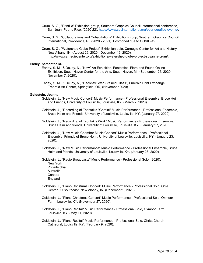- Crum, S. G., "Printilla" Exhibition-group, Southern Graphics Council International conference, San Juan, Puerto Rico, (2020-22). [https://www.sgcinternational.org/puertografico-events/.](https://www.sgcinternational.org/puertografico-events/)
- Crum, S. G., "Collaborations and Cohabitations" Exhibition-group, Southern Graphics Council International, Providence, RI, (2020 - 2021). Postponed due to COVID-19.
- Crum, S. G., "Watershed Globe Project" Exhibition-solo, Carnegie Center for Art and History, New Albany, IN, (August 29, 2020 - December 19, 2020). http://www.carnegiecenter.org/exhibitions/watershed-globe-project-susanna-crum/.

#### **Earley, Samantha M.**

- Earley, S. M., & DeJoy, N., "Now" Art Exhibition. Fantastical Flora and Fauna Online Exhibition, South Haven Center for the Arts, South Haven, MI, (September 25, 2020 - November 7, 2020).
- Earley, S. M., & DeJoy, N., "Deconstructed Stained Glass", Emerald Print Exchange, Emerald Art Center, Springfield, OR, (November 2020).

## **Goldstein, Joanna**

- Goldstein, J., "New Music Concert" Music Performance Professional Ensemble, Bruce Heim and Friends, University of Louisville, Louisville, KY, (March 2, 2020).
- Goldstein, J., "Recording of Tsontakis "Gemini" Music Performance Professional Ensemble, Bruce Heim and Friends, University of Louisville, Louisville, KY, (January 27, 2020).
- Goldstein, J., "Recording of Tsontakis Work" Music Performance Professional Ensemble, Bruce Heim and friends, University of Louisville, Louisville, KY, (January 27, 2020).
- Goldstein, J., "New Music Chamber Music Concert" Music Performance Professional Ensemble, Friends of Bruce Heim, University of Louisville, Louisville, KY, (January 23, 2020).
- Goldstein, J., "New Music Performance" Music Performance Professional Ensemble, Bruce Heim and friends, University of Louisville, Louisville, KY, (January 23, 2020).

Goldstein, J., "Radio Broadcasts" Music Performance - Professional Solo, (2020). New York **Philadelphia** Australia Canada England

- Goldstein, J., "Piano Christmas Concert" Music Performance Professional Solo, Ogle Center, IU Southeast, New Albany, IN, (December 9, 2020).
- Goldstein, J., "Piano Christmas Concert" Music Performance Professional Solo, Oxmoor Farm, Louisville, KY, (November 27, 2020).
- Goldstein, J., "Piano Recital" Music Performance Professional Solo, Oxmoor Farm, Louisville, KY, (May 11, 2020).
- Goldstein, J., "Piano Recital" Music Performance Professional Solo, Christ Church Cathedral, Louisville, KY, (February 9, 2020).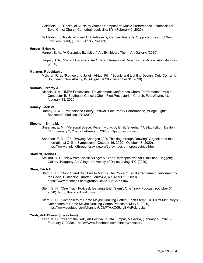- Goldstein, J., "Recital of Music by Women Composers" Music Performance Professional Solo, Christ Church Cathedral, Louisville, KY, (February 9, 2020).
- Goldstein, J., "Nasty Women" CD Release by Centaur Records, Supported by an IU New Frontiers Grant, (July 6, 2018 - Present).

#### **Harper, Brian A.**

Harper, B. A., "A Ceramics Exhibition" Art-Exhibition, The In Art Gallery, (2020).

Harper, B. A., "Distant Ceramics: An Online International Ceramics Exhibition" Art-Exhibition, (2020).

#### **Meixner, Rebekkah J.**

Meixner, R. J., "Romeo and Juliet - Virtual Film" Scenic and Lighting Design, Ogle Center IU Southeast, New Albany, IN, (August 2020 - December 31, 2020).

#### **Nichols, Jeramy A.**

Nichols, J. A., "IMEA Professional Development Conference Choral Performance" Music Conductor-IU Southeast Concert Choir, First Presbyterian Church, Fort Wayne, IN, (January 18, 2020).

#### **Ramey, Jack W.**

Ramey, J. W., "Poetpalooza Poetry Festival" Solo Poetry Performance, Village Lights Bookstore, Madison, IN, (2020).

#### **Sheehan, Emily M.**

Sheehan, E. M., "Personal Space: Recent works by Emily Sheehan" Art-Exhibition, Dayton, OH, (January 3, 2020 - February 6, 2020). https://daytondsa.org.

Sheehan, E. M., "2B: Drawing Changes 2020 Thinking through Drawing" Organizer of this International Online Symposium, (October 16, 2020 - October 18, 2020). https://www.thinkingthroughdrawing.org/2b-symposium-proceedings.html.

#### **Stallard, Donna L.**

Stallard, D. L., "View from the Art Village: 50 Year Retrospective" Art-Exhibition, Haggerty Gallery, Haggerty Art Village, University of Dallas, Irving, TX, (2020).

#### **Stem, Erich H.**

Stem, E. H., "Don't Stand So Close to Me" by The Police musical arrangement performed by the Social Distancing Quartet, Louisville, KY, (April 15, 2020). https://www.facebook.com/groups/2846539212257106.

Stem, E. H., "One Track Podcast: featuring Erich Stem", One Track Podcast, (October 31, 2020). http://1trackpodcast.com/.

Stem, E. H., "Composers at Home Maybe Drinking Coffee: Erich Stem", Dr. Elliott McKinley's Composers at Home Maybe Drinking Coffee Podcasts, (July 4, 2020). https://www.youtube.com/channel/UCIWTwXO06cIeEMuPeL\_Jvlw.

## **Yeoh, Kok Cheow (coke chow)**

Yeoh, K. C., "Year of the Rat", Art Festival, Kuala Lumpur, Malaysia, (January 18, 2020 - February 7, 2020). https://www.facebook.com/alfacnyzodiacart/.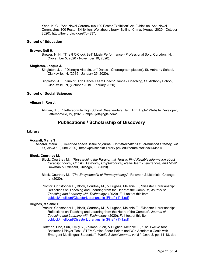Yeoh, K. C., "Anti-Novel Coronavirus 100 Poster Exhibition" Art-Exhibition, Anti-Novel Coronavirus 100 Poster Exhibition, Wenzhou Library, Beijing, China, (August 2020 - October 2020). http://the4thblock.org/?p=837.

## **School of Education**

#### **Brewer, Neil H.**

Brewer, N. H., "The 8 O'Clock Bell" Music Performance - Professional Solo, Corydon, IN, . (November 5, 2020 - November 10, 2020).

## **Singleton, Jacque J.**

Singleton, J. J., "Disney's Aladdin, Jr." Dance - Choreograph piece(s), St. Anthony School, Clarksville, IN, (2019 - January 25, 2020).

Singleton, J. J., "Junior High Dance Team Coach" Dance - Coaching, St. Anthony School, Clarksville, IN, (October 2019 - January 2020).

## **School of Social Sciences**

#### **Allman II, Ron J.**

Allman, R. J., "Jeffersonville High School Cheerleaders' Jeff High Jingle" Website Developer, Jeffersonville, IN, (2020). https://jeff-jingle.com/.

## **Publications / Scholarship of Discovery**

#### **Library**

#### **Accardi, Maria T.**

Accardi, Maria T., Co-edited special issue of journal, *Communications in Information Literacy, vol 14, issue 1.* (June 2020). https://pdxscholar.library.pdx.edu/comminfolit/vol14/iss1/.

## **Block, Courtney M.**

Block, Courtney M.,, "*Researching the Paranormal: How to Find Reliable Information about Parapsychology, Ghosts, Astrology, Cryptozoology, Near-Death Experiences, and More*", Rowman & Littlefield, Chicago, IL, (2020).

Block, Courtney M., *"The Encyclopedia of Parapsychology*", Rowman & Littlefield, Chicago, IL, (2020).

Proctor, Christopher L., Block, Courtney M., & Hughes, Melanie E., "Disaster Librarianship: Reflections on Teaching and Learning from the Heart of the Campus", *Journal of Teaching and Learning with Technology*, (2020). Full-text of this item: [coblock/intellcont/DisasterLibrarianship \(Final\) \(1\)-1.pdf](https://www.digitalmeasures.com/login/indiana/faculty/survey/ui/showFile?file=Y29ibG9jay9pbnRlbGxjb250L0Rpc2FzdGVyTGlicmFyaWFuc2hpcCAoRmluYWwpICgxKS0xLnBkZg%3D%3D&surId=17691684&nodeId=1610518&sdId=105950525&sdSurId=17691684&rptId=20226&ver=2&sgntr=fSgULGEfV8Ufm93SrTVUBtIqF9M%3D)

#### **Hughes, Melanie E.**

Proctor, Christopher L., Block, Courtney M., & Hughes, Melanie E., "Disaster Librarianship: Reflections on Teaching and Learning from the Heart of the Campus", *Journal of Teaching and Learning with Technology*, (2020). Full-text of this item: [coblock/intellcont/DisasterLibrarianship \(Final\) \(1\)-1.pdf](https://www.digitalmeasures.com/login/indiana/faculty/survey/ui/showFile?file=Y29ibG9jay9pbnRlbGxjb250L0Rpc2FzdGVyTGlicmFyaWFuc2hpcCAoRmluYWwpICgxKS0xLnBkZg%3D%3D&surId=17691684&nodeId=1610518&sdId=105950525&sdSurId=17691684&rptId=20226&ver=2&sgntr=fSgULGEfV8Ufm93SrTVUBtIqF9M%3D)

Hoffman, Lisa, Suh, Emily K., Zollman, Alan, & Hughes, Melanie E., "The Twelve-foot Basketball Player Task: STEM Circles Score Points and Win Academic Goals with Emergent Multilingual Students.", *Middle School Journal, vol 51, issue 3*, pp. 11-18, doi: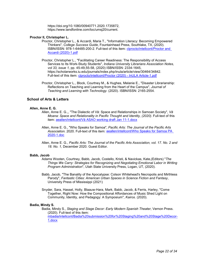https://doi.org/10.1080/00940771.2020.1735872, https://www.tandfonline.com/toc/umsj20/current.

## **Proctor II, Christopher L.**

- Proctor, Christopher L., & Accardi, Maria T., "Information Literacy: Becoming Empowered Thinkers", *College Success Guide*, Fountainhead Press, Southlake, TX, (2020). ISBN/ISSN: 978-1-64485-200-2. Full-text of this item: [clprocto/intellcont/Proctor and](https://www.digitalmeasures.com/login/indiana/faculty/survey/ui/showFile?file=Y2xwcm9jdG8vaW50ZWxsY29udC9Qcm9jdG9yIGFuZCBBY2NhcmRpICgyMDIwKS0xLnBkZg%3D%3D&surId=17962902&nodeId=1610518&sdId=104624774&sdSurId=17962902&rptId=20226&ver=2&sgntr=x7zxpK%2Fz4By5QMII7jZ7wS9Cvj8%3D)  [Accardi \(2020\)-1.pdf](https://www.digitalmeasures.com/login/indiana/faculty/survey/ui/showFile?file=Y2xwcm9jdG8vaW50ZWxsY29udC9Qcm9jdG9yIGFuZCBBY2NhcmRpICgyMDIwKS0xLnBkZg%3D%3D&surId=17962902&nodeId=1610518&sdId=104624774&sdSurId=17962902&rptId=20226&ver=2&sgntr=x7zxpK%2Fz4By5QMII7jZ7wS9Cvj8%3D)
- Proctor, Christopher L., "Facilitating Career Readiness: The Responsibility of Access Services to Its Work-Study Students", *Indiana University Librarians Association Notes, vol 33, issue 1,* pp. 45-49,55-58, (2020) ISBN/ISSN: 2334-1645, https://scholarworks.iu.edu/journals/index.php/inula/article/view/30464/34842. Full-text of this item: [clprocto/intellcont/Proctor \(2020\) -](https://www.digitalmeasures.com/login/indiana/faculty/survey/ui/showFile?file=Y2xwcm9jdG8vaW50ZWxsY29udC9Qcm9jdG9yICgyMDIwKSAtIEluVUxBIEFydGljbGUtMS5wZGY%3D&surId=17962902&nodeId=1610518&sdId=104625251&sdSurId=17962902&rptId=20226&ver=2&sgntr=H36pKj9Q16AkFpMuhVAwxdfbPq4%3D) InULA Article-1.pdf
- Proctor, Christopher L., Block, Courtney M., & Hughes, Melanie E., "Disaster Librarianship: Reflections on Teaching and Learning from the Heart of the Campus", *Journal of Teaching and Learning with Technology.* (2020). ISBN/ISSN: 2165-2554.

## **School of Arts & Letters**

## **Allen, Anne E. G.**

- Allen, Anne E. G.,, "The Dialectic of Vā: Space and Relationships in Samoan Society", *Vā Moana: Space and Relationality in Pacific Thought and Identity, (2020)*. Full-text of this item: [aeallen/intellcont/Vā ASAO working draft Jan 11](https://www.digitalmeasures.com/login/indiana/faculty/survey/ui/showFile?file=YWVhbGxlbi9pbnRlbGxjb250L1bEgSBBU0FPIHdvcmtpbmcgZHJhZnQgSmFuIDExLTEuZG9jeA%3D%3D&surId=17691120&nodeId=1610518&sdId=107517600&sdSurId=17691120&rptId=20226&ver=2&sgntr=VKCf7PIWFf%2BXSswNGMr%2BlpAKXCU%3D)-1.docx
- Allen, Anne E. G., "Who Speaks for Samoa", *Pacific Arts: The Journal of the Pacific Arts Association.* 2020. Full-text of this item[: aeallen/intellcont/Who Speaks for Samoa PA](https://www.digitalmeasures.com/login/indiana/faculty/survey/ui/showFile?file=YWVhbGxlbi9pbnRlbGxjb250L1dobyBTcGVha3MgZm9yIFNhbW9hIFBBIDIwMjAtMS5kb2M%3D&surId=17691120&nodeId=1610518&sdId=107517669&sdSurId=17691120&rptId=20226&ver=2&sgntr=3qXHhH4qZAbMvNzYy4%2FzA3FrCPo%3D)  [2020-1.doc](https://www.digitalmeasures.com/login/indiana/faculty/survey/ui/showFile?file=YWVhbGxlbi9pbnRlbGxjb250L1dobyBTcGVha3MgZm9yIFNhbW9hIFBBIDIwMjAtMS5kb2M%3D&surId=17691120&nodeId=1610518&sdId=107517669&sdSurId=17691120&rptId=20226&ver=2&sgntr=3qXHhH4qZAbMvNzYy4%2FzA3FrCPo%3D)
- Allen, Anne E. G., *Pacific Arts: The Journal of the Pacific Arts Association, vol. 17. No. 2 and 18. No. 1,* December 2020. Guest Editor.

## **Babb, Jacob**

- Adams Wooten, Courtney, Babb, Jacob, Costello, Kristi, & Navickas, Kate,(Editors) "*The Things We Carry: Strategies for Recognizing and Negotiating Emotional Labor in Writing Program Administration*", Utah State University Press, Logan, UT, (2020).
- Babb, Jacob, "The Banality of the Apocalypse: Colson Whitehead's Necropolis and Mirthless Parody", *Fantastic Cities: American Urban Spaces in Science Fiction and Fantasy*, University Press of Mississippi (2021)
- Snyder, Sara, Hassel, Holly, Blaauw-Hara, Mark, Babb, Jacob, & Ferris, Harley, "Come Together, Right Now: How the Compositional Affordances of Music Shed Light on Community, Identity, and Pedagogy: A Symposium", *Kairos*. (2020).

## **Badia, Mindy S.**

Badia, Mindy S., *Staging and Stage Decor: Early Modern Spanish Theater*, Vernon Press. (2020). Full-text of this item: [mbadia/intellcont/Badia%20submission%20for%20Staging%20and%20Stage%20Decor-](https://www.digitalmeasures.com/login/indiana/faculty/survey/ui/showFile?file=bWJhZGlhL2ludGVsbGNvbnQvQmFkaWElMjBzdWJtaXNzaW9uJTIwZm9yJTIwU3RhZ2luZyUyMGFuZCUyMFN0YWdlJTIwRGVjb3ItMS5kb2N4&surId=17691146&nodeId=1610518&sdId=105268595&sdSurId=17691146&rptId=20226&ver=2&sgntr=lyOeOhwOnn59lzhZTuTIsFeZjLo%3D)[1.docx](https://www.digitalmeasures.com/login/indiana/faculty/survey/ui/showFile?file=bWJhZGlhL2ludGVsbGNvbnQvQmFkaWElMjBzdWJtaXNzaW9uJTIwZm9yJTIwU3RhZ2luZyUyMGFuZCUyMFN0YWdlJTIwRGVjb3ItMS5kb2N4&surId=17691146&nodeId=1610518&sdId=105268595&sdSurId=17691146&rptId=20226&ver=2&sgntr=lyOeOhwOnn59lzhZTuTIsFeZjLo%3D)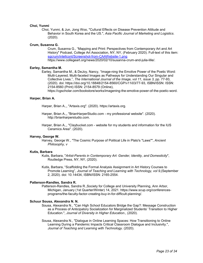### **Choi, Yunmi**

Choi, Yunmi, & Jun, Jong Woo, "Cultural Effects on Disease Prevention Attitude and Behavior in South Korea and the US.", *Asia Pacific Journal of Marketing and Logistics*. (2020).

## **Crum, Susanna G.**

Crum, Susanna G., "Mapping and Print: Perspectives from Contemporary Art and Art History" Podcast, College Art Association, NY, NY, (February 2020). Full-text of this item: [sgcrum/intellcont/Screenshot-from-CAAWebsite-1.png](https://www.digitalmeasures.com/login/indiana/faculty/survey/ui/showFile?file=c2djcnVtL2ludGVsbGNvbnQvU2NyZWVuc2hvdC1mcm9tLUNBQVdlYnNpdGUtMS5wbmc%3D&surId=17691155&nodeId=1610518&sdId=97839772&sdSurId=17691155&rptId=20226&ver=2&sgntr=Q4gjZbPOTa52Yh29IStqrigUWKs%3D) https://www.collegeart.org/news/2020/02/10/susanna-crum-and-julia-lille/.

## **Earley, Samantha M.**

Earley, Samantha M., & DeJoy, Nancy, "Image-ning the Emotive Power of the Poetic Word: Multi-Layered, Multi-faceted Images as Pathways for Understanding Our Singular and Collective Lives.", *The International Journal of the Image, vol 11, issue 3,* pp. 77-93, (2020). doi: https://doi.org/10.18848/2154-8560/CGP/v11i03/77-93, ISBN/ISSN: ISSN: 2154-8560 (Print) ISSN: 2154-8579 (Online),

https://cgscholar.com/bookstore/works/imagening-the-emotive-power-of-the-poetic-word.

## **Harper, Brian A.**

Harper, Brian A.,, "Artaxis.org". (2020). https://artaxis.org.

- Harper, Brian A.,, "BrianHarperStudio.com my professional website". (2020). http://brianharperstudio.com.
- Harper, Brian A.,, "Claybucket.com website for my students and information for the IUS Ceramics Area". (2020).

### **Harvey, George W.**

Harvey, George W., "The Cosmic Purpose of Political Life in Plato's "Laws"", *Ancient Philosophy, v*

## **Kutis, Barbara**

Kutis, Barbara, "*Artist-Parents in Contemporary Art: Gender, Identity, and Domesticity*", Routledge Press, NY, NY, (2020).

Kutis, Barbara, "Scaffolding the Formal Analysis Assignment in Art History Courses to Promote Learning", *Journal of Teaching and Learning with Technology, vol 9,*(September 2, 2020). doi: 10.14434, ISBN/ISSN: 2165-2554.

## **Patterson-Randles, Sandra R.**

Patterson-Randles, Sandra R.,Society for College and University Planning, Ann Arbor, Michigan, January (1st Quarter/Winter) 14, 2021. https://www.scup.org/conferencesprograms/the-faculty-factor-creating-buy-in-for-difficult-planning/.

#### **Schuur Sousa, Alexandra N. N.**

Sousa, Alexandra N., "Can High School Educators Bridge the Gap?: Message Construction as a Process of Anticipatory Socialization for Marginalized Students' Transition to Higher Education.", *Journal of Diversity in Higher Education*., (2020).

Sousa, Alexandra N., "Dialogue in Online Learning Spaces: How Transitioning to Online Learning During a Pandemic Impacts Critical Classroom Dialogue and Inclusivity.", *Journal of Teaching and Learning with Technology*. (2020).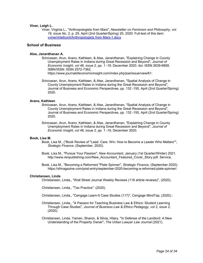## **Viner, Leigh L.**

Viner, Virginia L., "Anthropologists from Mars", *Newsletter on Feminism and Philosophy, vol. 19, issue No. 2,* p. 29, April (2nd Quarter/Spring) 20, 2020. Full-text of this item: [vviner/intellcont/Anthropologists from Mars-1.docx](https://www.digitalmeasures.com/login/indiana/faculty/survey/ui/showFile?file=dnZpbmVyL2ludGVsbGNvbnQvQW50aHJvcG9sb2dpc3RzIGZyb20gTWFycy0xLmRvY3g%3D&surId=17691162&nodeId=1610518&sdId=105890276&sdSurId=17691162&rptId=20226&ver=2&sgntr=r7z8E3MAGkyWR1YkEhHQqqy00VM%3D)

## **School of Business**

## **Alse, Janardhanan A.**

Srinivasan, Arun, Arano, Kathleen, & Alse, Janardhanan, "Explaining Change in County Unemployment Rates in Indiana during Great Recession and Beyond", *Journal of Economic Insight, vol 46, issue 2, pp. 1 -19,* December 2020. doi: ISSN 2639-6858, ISBN/ISSN: ISSN 2572-7362,

https://www.journalofeconomicinsight.com/index.php/joei/issue/view/61.

Srinivasan, Arun, Arano, Kathleen, & Alse, Janardhanan, "Spatial Analysis of Change in County Unemployment Rates in Indiana during the Great Recession and Beyond", Journal of Business and Economic Perspectives, pp. 132 -150, April (2nd Quarter/Spring) 2020.

#### **Arano, Kathleen**

- Srinivasan, Arun, Arano, Kathleen, & Alse, Janardhanan, "Spatial Analysis of Change in County Unemployment Rates in Indiana during the Great Recession and Beyond", Journal of Business and Economic Perspectives, pp. 132 -150, April (2nd Quarter/Spring) 2020.
- Srinivasan, Arun, Arano, Kathleen, & Alse, Janardhanan, "Explaining Change in County Unemployment Rates in Indiana during Great Recession and Beyond", *Journal of Economic Insight, vol 46, issue 2, pp. 1 -19,* December 2020.

#### **Book, Lisa M.**

- Book, Lisa M., ("Book Review of "Lead. Care. Win: How to Become a Leader Who Matters"", *Strategic Finance*, (September, 2020).
- Book, Lisa M., "Pursue Your Passion", *New Accountant*, January (1st Quarter/Winter) 2021. http://www.renpublishing.com/New\_Accountant\_Featured\_Cover\_Story.pdf. Service,
- Book, Lisa M., "Becoming a Reformed "Plate Spinner", *Strategic Finance*, (September 2020). https://sfmagazine.com/post-entry/september-2020-becoming-a-reformed-plate-spinner/.

#### **Christiansen, Linda**

Christiansen, Linda,, "Wall Street Journal Weekly Reviews (118 article reviews)", (2020).

Christiansen, Linda,, "Tax Practice". (2020).

Christiansen, Linda,, "Cengage Learn-It Case Studies (117)", Cengage MindTap, (2020).:

- Christiansen, Linda,, "A Passion for Teaching Business Law & Ethics: Student Learning Through Case Studies", *Journal of Business Law & Ethics Pedagogy, vol 2, issue 2,* (2020).
- Christiansen, Linda, Yamen, Sharon, & Silvia, Hilary, "In Defense of the Landlord: A New Understanding of the Property Owner", *The Urban Lawyer Law Journal* (2021).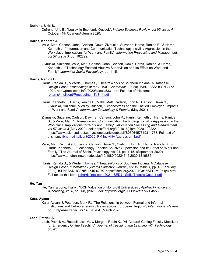## **Dufrene, Uric B.**

Dufrene, Uric B., "Louisville Economic Outlook", *Indiana Business Review, vol 95, issue 4,*  October (4th Quarter/Autumn) 2020.

#### **Harris, Kenneth J.**

- Valle, Matt, Carlson, John, Carlson, Dawn, Zivnuska, Suzanne, Harris, Ranida B., & Harris, Kenneth J., "Information and Communication Technology Incivility Aggression in the Workplace: Implications for Work and Family", *Information Processing and Management, vol 57, issue 3,* pp. 102222.
- Zivnuska, Suzanne, Valle, Matt, Carlson, John, Carlson, Dawn, Harris, Ranida, & Harris, Kenneth J., "Technology-Enacted Abusive Supervision and Its Effect on Work and Family", *Journal of Social Psychology*, pp. 1-15.

#### **Harris, Ranida B.**

- Harris, Ranida B., & Wedel, Thomas., "TheatreWorks of Southern Indiana: A Database Design Case", *Proceedings of the EDSIG Conference*, (2020). ISBN/ISSN: ISSN 2473- 4901, http://proc.iscap.info/2020/cases/5331.pdf. Full-text of this item: [rbharris/intellcont/Proceeding -](https://www.digitalmeasures.com/login/indiana/faculty/survey/ui/showFile?file=cmJoYXJyaXMvaW50ZWxsY29udC9Qcm9jZWVkaW5nIC0gVG9TSS0xLnBkZg%3D%3D&surId=17691116&nodeId=1610518&sdId=103849461&sdSurId=17691116&rptId=20226&ver=2&sgntr=yUr4%2F%2BfNDeTvWwzzYdamjwRop0M%3D) ToSI-1.pdf
- Harris, Kenneth J., Harris, Ranida B., Valle, Matt, Carlson, John R., Carlson, Dawn S., Zivnuska, Suzanne, & Wiley, Briceon, "Technostress and the Entitled Employee: Impacts on Work and Family", *Information Technology & People,* (May 2021).
- Zivnuska, Suzanne, Carlson, Dawn S., Carlson, John R., Harris, Kenneth J., Harris, Ranida B., & Valle, Matt, "Information and Communication Technology Incivility Aggression in the Workplace: Implications for Work and Family", *Information Processing and Management, vol 57, issue 3* (May 2020). doi: https://doi.org/10.1016/j.ipm.2020.102222, https://www.sciencedirect.com/science/article/abs/pii/S0306457319311768. Full-text of this item: [rbharris/intellcont/2020 IPM Incivility Aggression-1.pdf](https://www.digitalmeasures.com/login/indiana/faculty/survey/ui/showFile?file=cmJoYXJyaXMvaW50ZWxsY29udC8yMDIwIElQTSBJbmNpdmlsaXR5IEFnZ3Jlc3Npb24tMS5wZGY%3D&surId=17691116&nodeId=1610518&sdId=97762234&sdSurId=17691116&rptId=20226&ver=2&sgntr=%2Flb84tpkgShYXa2vUZwfN%2BveuSk%3D)
- Valle, Matt, Zivnuska, Suzanne, Carlson, Dawn S., Carlson, John R., Harris, Ranida B., & Harris, Kenneth J., "Technology-Enacted Abusive Supervision and Its Effect on Work and Family", The Journal of Social Psychology, vol 91, pp. 1-15, (September 2020). https://www.tandfonline.com/doi/abs/10.1080/00224545.2020.1816885.
- Harris, Ranida B., & Wedel, Thomas, "TheatreWorks of Southern Indiana: A Database Design Case", *Information Systems Education Journal, vol 19, issue 1, pp. 4, (February* 2021). ISBN/ISSN: ISSN#: 1545-679X, https://isedj.org/2021-19/n1/ISEDJv19n1p4.html. Full-text of this item: [rbharris/intellcont/2021 ISEDJ -](https://www.digitalmeasures.com/login/indiana/faculty/survey/ui/showFile?file=cmJoYXJyaXMvaW50ZWxsY29udC8yMDIxIElTRURKIC0gU29JTiBUaGVhdHJlIENhc2UtMS5wZGY%3D&surId=17691116&nodeId=1610518&sdId=106088323&sdSurId=17691116&rptId=20226&ver=2&sgntr=fz5GsKTaCEfnxm%2FC0h7Hbod0TlY%3D) SoIN Theatre Case-1.pdf

#### **He, Yan**

He, Yan, & Long, Frank,, "DCF Valuation of Nonprofit Universities", *Applied Finance and Accounting, vol 6*, pp. 1-8, (2020). doi: http://doi.org/10.11114/afa.v6i1.4553.

#### **Kara, Aycan**

Kara, Aycan, & Peterson, Mark F., "The Relationship between Formal and Informal Institutions and Entrepreneurship Rates across European Regions", *International Review of Entrepreneurship, vol 14, issue 4,* (March 2020).

## **Lach, Patrick A.**

Lach, Patrick A., Russell, Lisa M., & Morgan, Robin K., "All Aboard! Getting Faculty Mobilized for Emergency Online Teaching", *Journal of Teaching and Learning with Technology*, (2020).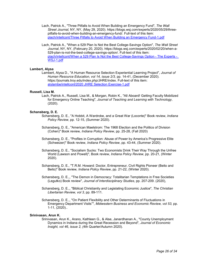- Lach, Patrick A., "Three Pitfalls to Avoid When Building an Emergency Fund", *The Wall Street Journal,* NY, NY, (May 29, 2020). https://blogs.wsj.com/experts/2020/05/29/threepitfalls-to-avoid-when-building-an-emergency-fund/. Full-text of this item: [plach/intellcont/Three Pitfalls to Avoid When Building an Emergency Fund-1.pdf](https://www.digitalmeasures.com/login/indiana/faculty/survey/ui/showFile?file=cGxhY2gvaW50ZWxsY29udC9UaHJlZSBQaXRmYWxscyB0byBBdm9pZCBXaGVuIEJ1aWxkaW5nIGFuIEVtZXJnZW5jeSBGdW5kLTEucGRm&surId=18089702&nodeId=1610518&sdId=103716003&sdSurId=18089702&rptId=20226&ver=2&sgntr=Ktpy4X6CRNY50L7yyqUbHu7aoO4%3D)
- Lach, Patrick A., "When a 529 Plan Is Not the Best College-Savings Option", *The Wall Street Journal*, NY, NY, (February 20, 2020). https://blogs.wsj.com/experts/2020/02/20/when-a-529-plan-is-not-the-best-college-savings-option/. Full-text of this item: [plach/intellcont/When a 529 Plan Is Not the Best College-Savings Option -](https://www.digitalmeasures.com/login/indiana/faculty/survey/ui/showFile?file=cGxhY2gvaW50ZWxsY29udC9XaGVuIGEgNTI5IFBsYW4gSXMgTm90IHRoZSBCZXN0IENvbGxlZ2UtU2F2aW5ncyBPcHRpb24gLSBUaGUgRXhwZXJ0cyAtIFdTSi0xLnBkZg%3D%3D&surId=18089702&nodeId=1610518&sdId=98131428&sdSurId=18089702&rptId=20226&ver=2&sgntr=Rl5zofnQaKNM8Kw%2B09Z7kasjSxg%3D) The Experts - [WSJ-1.pdf](https://www.digitalmeasures.com/login/indiana/faculty/survey/ui/showFile?file=cGxhY2gvaW50ZWxsY29udC9XaGVuIGEgNTI5IFBsYW4gSXMgTm90IHRoZSBCZXN0IENvbGxlZ2UtU2F2aW5ncyBPcHRpb24gLSBUaGUgRXhwZXJ0cyAtIFdTSi0xLnBkZg%3D%3D&surId=18089702&nodeId=1610518&sdId=98131428&sdSurId=18089702&rptId=20226&ver=2&sgntr=Rl5zofnQaKNM8Kw%2B09Z7kasjSxg%3D)

## **Lambert, Alysa**

Lambert, Alysa D., "A Human Resource Selection Experiential Learning Project", *Journal of Human Resource Education, vol 14, issue 2/3,* pp. 14-41, (December 2020). https://journals.troy.edu/index.php/JHRE/index. Full-text of this item: [alylambe/intellcont/2020 JHRE Selection Exercise-1.pdf](https://www.digitalmeasures.com/login/indiana/faculty/survey/ui/showFile?file=YWx5bGFtYmUvaW50ZWxsY29udC8yMDIwIEpIUkUgU2VsZWN0aW9uIEV4ZXJjaXNlLTEucGRm&surId=17691088&nodeId=1610518&sdId=104804887&sdSurId=17691088&rptId=20226&ver=2&sgntr=%2FxNRlc2ss7lUGo%2B3j9p0RY791r0%3D)

#### **Russell, Lisa M.**

Lach, Patrick A., Russell, Lisa M., & Morgan, Robin K., "All Aboard! Getting Faculty Mobilized for Emergency Online Teaching", *Journal of Teaching and Learning with Technology*, (2020).

#### **Schansberg, D. E.**

- Schansberg, D. E., "A Hobbit, A Wardrobe, and a Great War (Loconte)" Book review, *Indiana Policy Review*, pp. 12-15, (Summer 2020).
- Schansberg, D. E., "American Maelstrom: The 1968 Election and the Politics of Division (Cohen)" Book review*, Indiana Policy Review*, pp. 25-28, (Fall 2020)
- Schansberg, D. E., "Profiles in Corruption: Abuse of Power by America's Progressive Elite (Schweizer)" Book review, *Indiana Policy Review*, pp. 43-44, (Summer 2020).
- Schansberg, D. E., "Socialism Sucks: Two Economists Drink Their Way Through the Unfree World (Lawson and Powell)", Book review, *Indiana Policy Review*, pp. 20-21, (Winter 2020).
- Schansberg, D. E., "T.R.M. Howard: Doctor, Entrepreneur, Civil Rights Pioneer (Beito and Beito)" Book review*, Indiana Policy Review*, pp. 21-22, (Winter 2020).
- Schansberg, D. E.,, "The Demon in Democracy: Totalitarian Temptations in Free Societies (Legutko) Book review", *Journal of Interdisciplinary Studies*, pp. 207-209. (2020),
- Schansberg, D. E.,, "Biblical Christianity and Legislating Economic Justice", *The Christian Libertarian Review, vol 3,* pp. 89-111.
- Schansberg, D. E.,, "On Patient Flexibility and Other Determinants of Fluctuations in Emergency Department Visits"", *Midwestern Business and Economic Review, vol 53,* pp. 1-11, (2020)..

## **Srinivasan, Arun K.**

Srinivasan, Arun K., Arano, Kathleen G., & Alse, Janardhanan A., "County Unemployment Dynamics in Indiana during the Great Recession and Beyond", *Journal of Economic Insight, vol 46, issue 2, (*4th Quarter/Autumn 2020).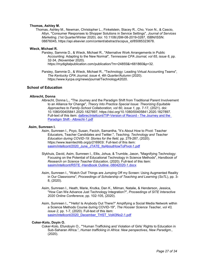## **Thomas, Ashley M.**

Thomas, Ashley M., Newman, Christopher L., Finkelstein, Stacey R., Cho, Yoon N., & Cascio, Allyn, "Consumer Responses to Shopper Solutions in Service Settings", *Journal of Services Marketing*, (1st Quarter/Winter 2020). doi: 10.1108/JSM-08-2019-0287, ISBN/ISSN: 08876045, https://api.elsevier.com/content/abstract/scopus\_id/85085323678.

## **Wieck, Michael R.**

Parsley, Sammie D., & Wieck, Michael R., "Alternative Work Arrangements in Public Accounting: Adapting to the New Normal", *Tennessee CPA Journal, vol 65, issue 6*, pp. 32-34, (November 2020).

https://mydigitalpublication.com/publication/?m=24855&i=681860&p=32.

Parsley, Sammie D., & Wieck, Michael R., "Technology: Leading Virtual Accounting Teams", *The Kentucky CPA Journal, issue 4, 4th Quarter/Autumn* (2020). https://www.kycpa.org/news/journal/Technology42020.

## **School of Education**

## **Albrecht, Donna**

Albrecht, Donna L., "The Journey and the Paradigm Shift from Traditional Parent Involvement to an Alliance for Change", *Theory Into Practice Special Issue: Theorizing Equitable Approaches to Family-School Collaboration, vol 60, issue 1*, pp. 7-17, (2021). doi: 10.1080/00405841.2020.1827897, https://doi.org/10.1080/00405841.2020.1827897. Full-text of this item: [dalbrec/intellcont/TIP-Version of Record -](https://www.digitalmeasures.com/login/indiana/faculty/survey/ui/showFile?file=ZGFsYnJlYy9pbnRlbGxjb250L1RJUC1WZXJzaW9uIG9mIFJlY29yZCAtIFRoZSBKb3VybmV5IGFuZCB0aGUgUGFyYWRpZ20gU2hpZnQgLSBBbGJyZWNodC0xLnBkZg%3D%3D&surId=17918974&nodeId=1610518&sdId=97852216&sdSurId=17918974&rptId=20226&ver=2&sgntr=d4dMTksrxjkX56zc8GKbokhb1qI%3D) The Journey and the [Paradigm Shift -](https://www.digitalmeasures.com/login/indiana/faculty/survey/ui/showFile?file=ZGFsYnJlYy9pbnRlbGxjb250L1RJUC1WZXJzaW9uIG9mIFJlY29yZCAtIFRoZSBKb3VybmV5IGFuZCB0aGUgUGFyYWRpZ20gU2hpZnQgLSBBbGJyZWNodC0xLnBkZg%3D%3D&surId=17918974&nodeId=1610518&sdId=97852216&sdSurId=17918974&rptId=20226&ver=2&sgntr=d4dMTksrxjkX56zc8GKbokhb1qI%3D) Albrecht-1.pdf

## **Asim, Sumreen I.**

- Asim, Sumreen I., Poyo, Susan, Fecich, Samantha, "It's About How to Pivot: Teacher Educators, Teacher Candidates and Twitter.", *Teaching, Technology and Teacher Education during COVID-19: Stories for the field*, pp. 279-287, (2020). https://www.learntechlib.org/p/216903/. Full-text of this item: [sasim/intellcont/2020\\_June\\_JTATE\\_ItsAboutHowToPivot-1.pdf](https://www.digitalmeasures.com/login/indiana/faculty/survey/ui/showFile?file=c2FzaW0vaW50ZWxsY29udC8yMDIwX0p1bmVfSlRBVEVfSXRzQWJvdXRIb3dUb1Bpdm90LTEucGRm&surId=17829051&nodeId=1610518&sdId=105881019&sdSurId=17829051&rptId=20226&ver=2&sgntr=VybbIQS1%2BBlIWEUNAAqvwFhg1Ik%3D)
- Slykhuis, David, Asim, Sumreen I., Ellis, Johua, & Trumble, Jason, "Magnifying Technology: Focusing on the Potential of Educational Technology in Science Methods", *Handbook of Research on Science Teacher Education,* (2020). Full-text of this item: [sasim/intellcont/RSTE -Handbook Outline -08042020-1.docx](https://www.digitalmeasures.com/login/indiana/faculty/survey/ui/showFile?file=c2FzaW0vaW50ZWxsY29udC9SU1RFIC1IYW5kYm9vayBPdXRsaW5lIC0wODA0MjAyMC0xLmRvY3g%3D&surId=17829051&nodeId=1610518&sdId=105881195&sdSurId=17829051&rptId=20226&ver=2&sgntr=AY9Ncnv2WiYz0pZNXK0hvhRfWj4%3D)
- Asim, Sumreen I., "Watch Out! Things are Jumping Off my Screen: Using Augmented Reality in Our Classrooms", *Proceedings of Scholarship of Teaching and Learning (SoTL*), pp. 3- 8, (2020).
- Asim, Sumreen I., Heath, Marie, Krutka, Dan K., Milman, Natalie, & Henderson, Jessica, "How Can We Advance Just Technology Integration?", *Proceedings of SITE Interactive 2020 Online Conference,* pp. 102-105, (2020).
- Asim, Sumreen I., ""Hello! Is Anybody Out There?" Amplifying a Social Media Network within a Science Methods Course during COVID-19", *The Hoosier Science Teacher, vol 43, issue 2,* pp. 1-7, (2020). Full-text of this item: [sasim/intellcont/2020\\_December\\_THST\\_Vol43No2-1.pdf](https://www.digitalmeasures.com/login/indiana/faculty/survey/ui/showFile?file=c2FzaW0vaW50ZWxsY29udC8yMDIwX0RlY2VtYmVyX1RIU1RfVm9sNDNObzItMS5wZGY%3D&surId=17829051&nodeId=1610518&sdId=105881061&sdSurId=17829051&rptId=20226&ver=2&sgntr=tHvDbBJ5oopAuACZAaubph73uoc%3D)

#### **Coker-Kolo, Doyin O.**

Coker-Kolo, Efundoyin O., ""Human Trafficking and Violation of Girls' Rights to Education in Sub-Saharan Africa.", *Human trafficking in Africa: New perspectives, New Paradigm*., (2020).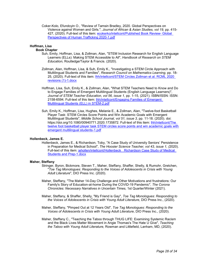Coker-Kolo, Efundoyin O., "Review of Tamsin Bradley, 2020. Global Perspectives on Violence against Women and Girls.", *Journal of African & Asian Studies, vol 19,* pp. 415- 427, (2020). Full-text of this item: [ecokerko/intellcont/Published Book Review-](https://www.digitalmeasures.com/login/indiana/faculty/survey/ui/showFile?file=ZWNva2Vya28vaW50ZWxsY29udC9QdWJsaXNoZWQgQm9vayBSZXZpZXctIEdsb2JhbCBQZXJzcGVjdGl2ZXMgb2YgSHVtYW4gVHJhZmZpY2tpbmcgMjAyMC0xLnBkZg%3D%3D&surId=17691036&nodeId=1610518&sdId=105855106&sdSurId=17691036&rptId=20226&ver=2&sgntr=LjsC4MQN68smKLvPpWMpjGdi%2F6Q%3D) Global [Perspectives of Human Trafficking 2020-1.pdf](https://www.digitalmeasures.com/login/indiana/faculty/survey/ui/showFile?file=ZWNva2Vya28vaW50ZWxsY29udC9QdWJsaXNoZWQgQm9vayBSZXZpZXctIEdsb2JhbCBQZXJzcGVjdGl2ZXMgb2YgSHVtYW4gVHJhZmZpY2tpbmcgMjAyMC0xLnBkZg%3D%3D&surId=17691036&nodeId=1610518&sdId=105855106&sdSurId=17691036&rptId=20226&ver=2&sgntr=LjsC4MQN68smKLvPpWMpjGdi%2F6Q%3D)

## **Hoffman, Lisa**

## **Book Chapter**

- Suh, Emily, Hoffman, Lisa, & Zollman, Alan, "STEM Inclusion Research for English Language Learners (ELLs): Making STEM Accessible to All", *Handbook of Research on STEM Education,* Routledge/Taylor & Francis. (2020).
- Zollman, Alan, Hoffman, Lisa, & Suh, Emily K., "Investigating a STEM Circle Approach with Multilingual Students and Families", *Research Council on Mathematics Learning*, pp. 18- 25, (2020). Full-text of this item: **Ihh/intellcont/STEM Circles Zollman et al. RCML 2020** [revisions \(1\)-1.docx](https://www.digitalmeasures.com/login/indiana/faculty/survey/ui/showFile?file=bGhoL2ludGVsbGNvbnQvU1RFTSBDaXJjbGVzIFpvbGxtYW4gZXQgYWwuIFJDTUwgMjAyMCByZXZpc2lvbnMgKDEpLTEuZG9jeA%3D%3D&surId=17691045&nodeId=1610518&sdId=97329412&sdSurId=17691045&rptId=20226&ver=2&sgntr=li%2F9v18pWV0ZFzmnpsB7SCaJsa4%3D)
- Hoffman, Lisa, Suh, Emily K., & Zollman, Alan, "What STEM Teachers Need to Know and Do to Engage Families of Emergent Multilingual Students (English Language Learners)", *Journal of STEM Teacher Education, vol 56, issue 1,* pp. 1-15, (2021). ISBN/ISSN: ISSN: 2158-6594. Full-text of this item: Ihh/intellcont/Engaging Families of Emergent [Multilingual Students \(ELL\) in STEM-2.pdf](https://www.digitalmeasures.com/login/indiana/faculty/survey/ui/showFile?file=bGhoL2ludGVsbGNvbnQvRW5nYWdpbmcgRmFtaWxpZXMgb2YgRW1lcmdlbnQgTXVsdGlsaW5ndWFsIFN0dWRlbnRzIChFTEwpIGluIFNURU0tMi5wZGY%3D&surId=17691045&nodeId=1610518&sdId=100435306&sdSurId=17691045&rptId=20226&ver=2&sgntr=aT5%2FPMuI6641MK1aqg5h%2BPLIgVE%3D)
- Suh, Emily K., Hoffman, Lisa, Hughes, Melanie E., & Zollman, Alan, "Twelve-foot Basketball Player Task: STEM Circles Score Points and Win Academic Goals with Emergent Multilingual Students", *Middle School Journal, vol 51, issue 3,* pp. 11-18. (2020). doi: https://doi.org/10.1080/00940771.2020.1735872. Full-text of this item: **lhh/intellcont/The** [twelve foot basketball player task STEM circles score points and win academic goals with](https://www.digitalmeasures.com/login/indiana/faculty/survey/ui/showFile?file=bGhoL2ludGVsbGNvbnQvVGhlIHR3ZWx2ZSBmb290IGJhc2tldGJhbGwgcGxheWVyIHRhc2sgU1RFTSBjaXJjbGVzIHNjb3JlIHBvaW50cyBhbmQgd2luIGFjYWRlbWljIGdvYWxzIHdpdGggZW1lcmdlbnQgbXVsdGlsaW5ndWFsIHN0dWRlbnRzLTEucGRm&surId=17691045&nodeId=1610518&sdId=97330231&sdSurId=17691045&rptId=20226&ver=2&sgntr=wW8i8CsZqJjOWrtLuRHGY0yZaZI%3D)  [emergent multilingual students-1.pdf](https://www.digitalmeasures.com/login/indiana/faculty/survey/ui/showFile?file=bGhoL2ludGVsbGNvbnQvVGhlIHR3ZWx2ZSBmb290IGJhc2tldGJhbGwgcGxheWVyIHRhc2sgU1RFTSBjaXJjbGVzIHNjb3JlIHBvaW50cyBhbmQgd2luIGFjYWRlbWljIGdvYWxzIHdpdGggZW1lcmdlbnQgbXVsdGlsaW5ndWFsIHN0dWRlbnRzLTEucGRm&surId=17691045&nodeId=1610518&sdId=97330231&sdSurId=17691045&rptId=20226&ver=2&sgntr=wW8i8CsZqJjOWrtLuRHGY0yZaZI%3D)

## **Hollenbeck, James E.**

Hollenbeck, James E., & Richardson, Toby, "A Case Study of University Seniors' Persistence in Preparation for Medical School", *The Hoosier Science Teacher, vol 43, issue 1, (*2020). Full-text of this item: [jehollen/intellcont/Hollenbeck Richardson Case Study of Medical](https://www.digitalmeasures.com/login/indiana/faculty/survey/ui/showFile?file=amVob2xsZW4vaW50ZWxsY29udC9Ib2xsZW5iZWNrICBSaWNoYXJkc29uIENhc2UgU3R1ZHkgb2YgTWVkaWNhbCBTdHVkZW50cyBhbmQgUHJlcC0xLmRvY3g%3D&surId=17691040&nodeId=1610518&sdId=105671816&sdSurId=17691040&rptId=20226&ver=2&sgntr=IxJ0CE3NL4Z33HOKFanuKjg996s%3D)  [Students and Prep-1.docx](https://www.digitalmeasures.com/login/indiana/faculty/survey/ui/showFile?file=amVob2xsZW4vaW50ZWxsY29udC9Ib2xsZW5iZWNrICBSaWNoYXJkc29uIENhc2UgU3R1ZHkgb2YgTWVkaWNhbCBTdHVkZW50cyBhbmQgUHJlcC0xLmRvY3g%3D&surId=17691040&nodeId=1610518&sdId=105671816&sdSurId=17691040&rptId=20226&ver=2&sgntr=IxJ0CE3NL4Z33HOKFanuKjg996s%3D)

#### **Maher, Steffany**

- Stringer, Byron, Bickmore, Steven T., Maher, Steffany, Shaffer, Shelly, & Rumohr, Gretchen, "*Toe Tag Monologues: Responding to the Voices of Adolescents in Crisis with Young Adult Literature*", DIO Press Inc. (2020).
- Maher, Steffany, "The Maher 14-Day Challenge and Other Motivations and frustrations: Our Family's Story of Education-at-home During the COVID-19 Pandemic", *The Corona Chronicles: Necessary Narratives in Uncertain Times,* 1st Quarter/Winter (2021).
- Maher, Steffany, & Shaffer, Shelly, "My Friend is Gay", *Toe Tag Monologues: Responding to the Voices of Adolescents in Crisis with Young Adult Literature*, DIO Press Inc., (2020).
- Maher, Steffany, "Pimped Out at 12 Years Old", *Toe Tag Monologues: Responding to the Voices of Adolescents in Crisis with Young Adult Literature*, DIO Press Inc., (2020).
- Maher, Steffany C., "Teaching the Taboo through THUG LIFE: Examining Systemic Racism and the Black Lives Matter Movement in Angie Thomas's The Hate U Give", *Teaching the Taboo with Young Adult Literature,* Rowman and Littlefield, Lanham, MD, (2020).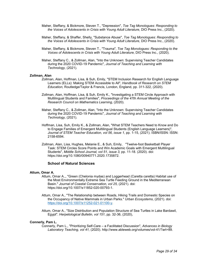- Maher, Steffany, & Bickmore, Steven T., "Depression", *Toe Tag Monologues: Responding to the Voices of Adolescents in Crisis with Young Adult Literature*, DIO Press Inc., (2020).
- Maher, Steffany, & Shaffer, Shelly, "Substance Abuse", *Toe Tag Monologues: Responding to the Voices of Adolescents in Crisis with Young Adult Literature*, DIO Press Inc., (2020).
- Maher, Steffany, & Bickmore, Steven T., "Trauma", *Toe Tag Monologues: Responding to the Voices of Adolescents in Crisis with Young Adult Literature*, DIO Press Inc., (2020).
- Maher, Steffany C., & Zollman, Alan, "Into the Unknown: Supervising Teacher Candidates during the 2020 COVID-19 Pandemic", *Journal of Teaching and Learning with Technology,* (2021).

#### **Zollman, Alan**

- Zollman, Alan, Hoffman, Lisa, & Suh, Emily, "STEM Inclusion Research for English Language Learners (ELLs): Making STEM Accessible to All", *Handbook of Research on STEM Education,* Routledge/Taylor & Francis, London, England, pp. 311-322, (2020).
- Zollman, Alan, Hoffman, Lisa, & Suh, Emily K., "Investigating a STEM Circle Approach with Multilingual Students and Families", *Proceedings of the 47th Annual Meeting of the Research Council on Mathematics Learning*, (2020).
- Maher, Steffany C., & Zollman, Alan, "Into the Unknown: Supervising Teacher Candidates during the 2020 COVID-19 Pandemic", *Journal of Teaching and Learning with Technology,* (2021).
- Hoffman, Lisa, Suh, Emily K., & Zollman, Alan, "What STEM Teachers Need to Know and Do to Engage Families of Emergent Multilingual Students (English Language Learners)", *Journal of STEM Teacher Education, vol 56, issue 1,* pp. 1-15, (2021). ISBN/ISSN: ISSN: 2158-6594.
- Zollman, Alan, Lisa, Hughes, Melanie E., & Suh, Emily, "Twelve-foot Basketball Player Task: STEM Circles Score Points and Win Academic Goals with Emergent Multilingual Students", *Middle School Journal, vol 51, issue 3,* pp. 11-18. (2020). doi: https://doi.org/10.1080/00940771.2020.1735872.

## **School of Natural Sciences**

#### **Attum, Omar A.**

- Attum, Omar A.,, "Green (Chelonia mydas) and Loggerhead (Caretta caretta) Habitat use of the Most Environmentally Extreme Sea Turtle Feeding Ground in the Mediterranean Basin." *Journal of Coastal Conservation, vol 25,* (2021). doi: https://doi.org/10.1007/s11852-020-00793-1.
	- Attum, Omar A., "The Relationship between Roads, Hiking Trails and Domestic Species on the Occupancy of Native Mammals in Urban Parks." *Urban Ecosystems*, (2021). doi: [https://doi.org/10.1007/s11252-021-01100-y.](https://doi.org/10.1007/s11252-021-01100-y)
	- Attum, Omar A., "Size Distribution and Population Structure of Sea Turtles in Lake Bardawil, Egypt". *Herpetological Bulletin, vol 151*, pp. 32-36, (2020),

#### **Connerly, Pam L.**

Connerly, Pam L., "Prioritizing Self-Care – a Facilitated Discussion", *Advances in Biology Laboratory Teaching, vol 41,* (2020). http://www.ableweb.org/volumes/vol-41/?art=89.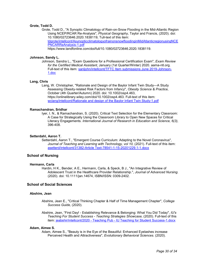## **Grote, Todd D.**

Grote, Todd D., "A Synoptic Climatology of Rain-on-Snow Flooding in the Mid-Atlantic Region Using NCEP/RCAR Re-Analysis", *Physical Geography*, Taylor and Francis, (2020). doi: 10.1080/02723646.2020.1838119, Tull-text of this item: [tdgrote/intellcont/AsynopticclimatologyofrainonsnowfloodinginMidAtlanticregionusingNCE](https://www.digitalmeasures.com/login/indiana/faculty/survey/ui/showFile?file=dGRncm90ZS9pbnRlbGxjb250L0FzeW5vcHRpY2NsaW1hdG9sb2d5b2ZyYWlub25zbm93Zmxvb2Rpbmdpbk1pZEF0bGFudGljcmVnaW9udXNpbmdOQ0VQTkNBUlJlQW5hbHlzaXMtMS5wZGY%3D&surId=17829048&nodeId=1610518&sdId=94513971&sdSurId=17829048&rptId=20226&ver=2&sgntr=tPbM0YfwevaSwbt77RsOIJ9XVbs%3D)

[PNCARReAnalysis-1.pdf](https://www.digitalmeasures.com/login/indiana/faculty/survey/ui/showFile?file=dGRncm90ZS9pbnRlbGxjb250L0FzeW5vcHRpY2NsaW1hdG9sb2d5b2ZyYWlub25zbm93Zmxvb2Rpbmdpbk1pZEF0bGFudGljcmVnaW9udXNpbmdOQ0VQTkNBUlJlQW5hbHlzaXMtMS5wZGY%3D&surId=17829048&nodeId=1610518&sdId=94513971&sdSurId=17829048&rptId=20226&ver=2&sgntr=tPbM0YfwevaSwbt77RsOIJ9XVbs%3D)

https://www.tandfonline.com/doi/full/10.1080/02723646.2020.1838119.

#### **Johnson, Sandy L.**

Johnson, Sandra L., "Exam Questions for a Professional Certification Exam", *Exam Review for the Certified Medical Assistant*, January (1st Quarter/Winter) 2020. aama-ntl.org. Full-text of this item: [sanljohn/intellcont/TFTC Item submissions June 2019-Johnson-](https://www.digitalmeasures.com/login/indiana/faculty/survey/ui/showFile?file=c2FubGpvaG4vaW50ZWxsY29udC9URlRDIEl0ZW0gc3VibWlzc2lvbnMgSnVuZSAyMDE5LUpvaG5zb24tMS5kb2M%3D&surId=17689471&nodeId=1610518&sdId=97895420&sdSurId=17689471&rptId=20226&ver=2&sgntr=MxX16EBJiGWO2dzUaxl%2BzhHIdoI%3D)[1.doc](https://www.digitalmeasures.com/login/indiana/faculty/survey/ui/showFile?file=c2FubGpvaG4vaW50ZWxsY29udC9URlRDIEl0ZW0gc3VibWlzc2lvbnMgSnVuZSAyMDE5LUpvaG5zb24tMS5kb2M%3D&surId=17689471&nodeId=1610518&sdId=97895420&sdSurId=17689471&rptId=20226&ver=2&sgntr=MxX16EBJiGWO2dzUaxl%2BzhHIdoI%3D)

#### **Lang, Chris**

Lang, W. Christopher, "Rationale and Design of the Baylor Infant Twin Study—A Study Assessing Obesity‐related Risk Factors from Infancy", *Obesity Science & Practice,* October (4th Quarter/Autumn) 2020. doi: 10.1002/osp4.463, https://onlinelibrary.wiley.com/doi/10.1002/osp4.463. Full-text of this item: [wclang/intellcont/Rationale and design of the Baylor Infant](https://www.digitalmeasures.com/login/indiana/faculty/survey/ui/showFile?file=d2NsYW5nL2ludGVsbGNvbnQvUmF0aW9uYWxlIGFuZCBkZXNpZ24gb2YgdGhlIEJheWxvciBJbmZhbnQgVHdpbiBTdHVkeS0xLnBkZg%3D%3D&surId=17689477&nodeId=1610518&sdId=105836009&sdSurId=17689477&rptId=20226&ver=2&sgntr=8hPfvyddxFO8MyDC1PzpzhBVhUM%3D) Twin Study-1.pdf

## **Ramachandran, Sridhar**

Iyer, I. N., & Ramachandran, S. (2020). Critical Text Selection for the Elementary Classroom: A Case for Strategically Using the Classroom Library to Open New Spaces for Critical Literacy Engagements. *International Journal of Research in Education and Science, 6(3),* 396-408.

## **Setterdahl, Aaron T.**

Setterdahl, Aaron T., "Emergent Course Curriculum: Adapting to the Novel Coronavirus", *Journal of Teaching and Learning with Technology, vol 10,* (2021). Full-text of this item: [asetterd/intellcont/31382-Article Text-78541-1-15-20201229.1-1.docx](https://www.digitalmeasures.com/login/indiana/faculty/survey/ui/showFile?file=YXNldHRlcmQvaW50ZWxsY29udC8zMTM4Mi1BcnRpY2xlIFRleHQtNzg1NDEtMS0xNS0yMDIwMTIyOS4xLTEuZG9jeA%3D%3D&surId=17689434&nodeId=1610518&sdId=106333299&sdSurId=17689434&rptId=20226&ver=2&sgntr=AO5x7DegOaXw%2B5MhCcWhvPp2I%2F0%3D)

## **School of Nursing**

#### **Hermann, Carla**

Hardin, H K., Bender, A E., Hermann, Carla, & Speck, B J., "An Integrative Review of Adolescent Trust in the Healthcare Provider Relationship.", *Journal of Advanced Nursing*. (2020). doi: 10.1111/jan.14674, ISBN/ISSN: 0309-2402.

## **School of Social Sciences**

#### **Abshire, Jean**

- Abshire, Jean E., "Critical Thinking Chapter & Half of Time Management Chapter", *College Success Guide,* (2020).
- Abshire, Jean, "First Day! Establishing Relevance & Belonging: What You Did Today", *IU's Teaching For Student Success - Teaching Strategies Showcase,* (2020). Full-text of this item: jeabshir/intellcont/2020 - Teaching Pub - [IU Teaching for Student Success-1.docx](https://www.digitalmeasures.com/login/indiana/faculty/survey/ui/showFile?file=amVhYnNoaXIvaW50ZWxsY29udC8yMDIwIC0gVGVhY2hpbmcgUHViIC0gSVUgVGVhY2hpbmcgZm9yIFN0dWRlbnQgU3VjY2Vzcy0xLmRvY3g%3D&surId=17689300&nodeId=1610518&sdId=106104647&sdSurId=17689300&rptId=20226&ver=2&sgntr=vJSMmR6pZGHvgXR6WH2Ex7bBAm4%3D)

#### **Adam, Aimee S.**

Adam, Aimee S., "Beauty is in the Eye of the Beautiful: Enhanced Eyelashes increase Perceived Health and Attractiveness", *Evolutionary Behavioral Sciences*. (2020).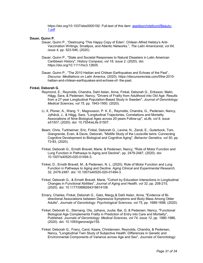https://doi.org/10.1037/ebs0000192. Full-text of this item: [asedison/intellcont/Beauty-](https://www.digitalmeasures.com/login/indiana/faculty/survey/ui/showFile?file=YXNlZGlzb24vaW50ZWxsY29udC9CZWF1dHktMS5wZGY%3D&surId=17998859&nodeId=1610518&sdId=97181582&sdSurId=17998859&rptId=20226&ver=2&sgntr=YeQit%2Fcuonnp%2FsI3aN1%2FYvn5eNA%3D)[1.pdf](https://www.digitalmeasures.com/login/indiana/faculty/survey/ui/showFile?file=YXNlZGlzb24vaW50ZWxsY29udC9CZWF1dHktMS5wZGY%3D&surId=17998859&nodeId=1610518&sdId=97181582&sdSurId=17998859&rptId=20226&ver=2&sgntr=YeQit%2Fcuonnp%2FsI3aN1%2FYvn5eNA%3D)

## **Dauer, Quinn P.**

- Dauer, Quinn P., "Destroying 'This Happy Copy of Eden': Chilean Alfred Helsby's Anti-Vaccination Writings, Smallpox, and Atlantic Networks.", *The Latin Americanist, vol 64, issue 4,* pp. 523-546, (2020).
- Dauer, Quinn P., "State and Societal Responses to Natural Disasters in Latin American Caribbean History", *History Compass, vol 18, issue 2*. (2020). doi: https://doi.org/10.1111/hic3.12605.

Dauer, Quinn P., "The 2010 Haitian and Chilean Earthquakes and Echoes of the Past", *Discurso: Meditations on Latin America*, (2020). https://discursorevista.com/f/the-2010 haitian-and-chilean-earthquakes-and-echoes-of- the-past.

## **Finkel, Deborah G.**

- Raymond, E., Reynolds, Chandra, Dahl Aslan, Anna, Finkel, Deborah G., Eriksson, Malin, Hägg, Sara, & Pedersen, Nancy, "Drivers of Frailty from Adulthood into Old Age: Results from a 27-year Longitudinal Population-Based Study in Sweden", *Journal of Gerontology: Medical Sciences, vol 75,* pp. 1943-1950. (2020).
- Li, X, Ploner, A., Wang, Y., Magnusson, P. K. E., Reynolds, Chandra, G., Pedersen, Nancy, Jylhävä, J., & Hägg, Sara, "Longitudinal Trajectories, Correlations and Mortality Associations of Nine Biological Ages across 20-years Follow-up", *eLife, vol 9, issue e51507*, (2020). doi: 10.7554/eLife.51507.
- Beam, Chris, Turkheimer, Eric, Finkel, Deborah G., Levine, N., Zandi, E., Guterbock, Tom, Giangrande, Evan, & Davis, Deborah, "Midlife Study of the Louisville twins: Connecting Cognitive Development to Biological and Cognitive Aging", *Behavior Genetics, vol 50*, pp. 73-83, (2020).
- Finkel, Deborah G., Ernsth Bravell, Marie, & Pedersen, Nancy, "Role of Motor Function and Lung Function in Pathways to Aging and Decline", pp. 2479-2487, (2020). doi: 10.1007/s40520-020-01494-3.
- Finkel, D., Ernsth Bravell, M., & Pedersen, N. L. (2020). Role of Motor Function and Lung Function in Pathways to Aging and Decline. *Aging Clinical and Experimental Research,*  32, 2479-2487. doi: 10.1007/s40520-020-01494-3.
- Finkel, Deborah G., & Ernsth Bravell, Marie, "Cohort by Education Interactions in Longitudinal Changes in Functional Abilities", *Journal of Aging and Health, vol 32*, pp. 208-215, (2020). doi: 10.1177/0898264318814108.
- Emery, Charles, Finkel, Deborah G., Gatz, Margy,& Dahl Aslan, Anna, "Evidence of Bidirectional Associations between Depressive Symptoms and Body Mass Among Older Adults", *Journals of Gerontology: Psychological Sciences, vol 75*, pp. 1689-1698, (2020).
- Finkel, Deborah G., Sternang, Ola, Jylhava, Juulia, Bai, G, & Pedersen, Nancy, "Functional Biological Age Complements Frailty in Prediction of Entry into Care and Mortality", Published. *Journals of Gerontology: Medical Sciences, vol 74, issue 12*, pp. 1980-1986, (2020). doi: 10.1093/gerona/glz155.
- Finkel, Deborah G., Franz, Carol, Kaare, Christensen, Reynolds, Chandra, & Pedersen, Nancy, "Longitudinal Twin Study of Subjective Health: Differences in Genetic and Environmental Components of Variance across Age and Sex", *Journals of Gerontology:*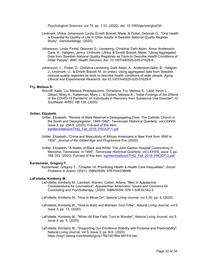*Psychological Sciences, vol 75,* pp. 1-10, (2020). doi: 10.1093/geronb/gby030.

- Lindmark, Ulrika, Johansson, Linda, Ernsth Bravell, Marie, & Finkel, Deborah G., "Oral Health is Essential for Quality of Life in Older Adults: A Swedish National Quality Register Study", *Gerodontology*, (2020).
- Johansson, Linda, Finkel, Deborah G., Lannering, Christina, Dahl Aslan, Anna, Andersson-Gare, A., Hallgren, Jenny, Lindmark, Ulrika, & Ernsth Bravell, Marie, "Using Aggregated Data from Swedish National Quality Registries as Tools to Describe Health Conditions of Older People", *BMC Health Services*. doi: 10.1007/s40520-020-01629-6..
- Johansson, L., Finkel, D., Christina Lannering, Dahl Aslan, A., Andersson-Gäre, B., Hallgren, J., Lindmark, U., & Ernsth Bravell, M. (in press). Using aggregated data from Swedish national quality registries as tools to describe health conditions of older people. *Aging Clinical and Experimental Research.* doi:10.1007/s40520-020-01629-6

#### **Fry, Melissa S.**

Shircliff, Katie, Liu, Melissa, Prestigiacomo, Christiana, Fry, Melissa S., Ladd, Kevin L., Gilbert, Misty K., Ratterman, Mary J., & Cyders, Melissa A., "Initial Findings of the Effects of the COVID-19 Pandemic on Individuals in Recovery from Substance Use Disorder", *IU Southeast--AREC HB 135*, (2020).

#### **Gritter, Elizabeth**

- Gritter, Elizabeth, "Review of Mark Newman's Desegregating Dixie: The Catholic Church in the South and Desegregation, 1945-1992", *Tennessee Historical Quarterly*, *vol LXXVIII, issue 3,* pp. 204-5, (2020). Full-text of this item: [egritter/intellcont/THQ\\_Fall\\_2019\\_PROOF-1.pdf](https://www.digitalmeasures.com/login/indiana/faculty/survey/ui/showFile?file=ZWdyaXR0ZXIvaW50ZWxsY29udC9USFFfRmFsbF8yMDE5X1BST09GLTEucGRm&surId=17689295&nodeId=1610518&sdId=98220213&sdSurId=17689295&rptId=20226&ver=2&sgntr=PtNz80oUqg2JX%2BWmCPRmZtj0RTw%3D)
- Gritter, Elizabeth, "Crime and Masculinity of African Americans in New York from 1890 to 1930", *Journal of the Gilded Age and Progressive Era*, (2020).
- Gritter, Elizabeth, "A Matter of Black and White: The John Gaston Hospital Controversy in Memphis, Tennessee, in 1956", *Tennessee Historical Quarterly*, *vol LXXVIII, issue 3,* pp. 168-193, (2020). Full-text of this item: [egritter/intellcont/THQ\\_Fall\\_2019\\_PROOF-2.pdf](https://www.digitalmeasures.com/login/indiana/faculty/survey/ui/showFile?file=ZWdyaXR0ZXIvaW50ZWxsY29udC9USFFfRmFsbF8yMDE5X1BST09GLTIucGRm&surId=17689295&nodeId=1610518&sdId=86851277&sdSurId=17689295&rptId=20226&ver=2&sgntr=7KCeGmf%2FEk1KbjJzbSWWMl4FpZo%3D)

#### **Kordsmeier, Gregory T.**

Kordsmeier, Gregory T., "Chapter 14: Prioritizing Health & Health Care Inequalities", *Social Problems in Action*, (2021). ISBN/ISSN: 9781544338668.

#### **LaFollette, Kimberly M.**

- LaFollette, Kimberly M., Lambert, Warren, Cotton, Arlene, "Men In Appalachia: Considerations for Counselors", *Appalachian Americans: Issues and Concerns for Counseling and Psychotherapy,* (2020). ISBN/ISSN: 978-1-53616-542-5.
- LaFollette, Kimberly M., "How to Move On", *Natural Living Journal*, *vol 5 (6)*, pp. 4, (2020).
- LaFollette, Kimberly M., "How to Build and Maintain Your Tribe", *Natural Living Journal, vol 5, issue 5,* pp. 13, (2020).
- LaFollette, Kimberly M., "When All Else Fails, Turn to Wonder", *Natural Living Journal, vol 5, issue 4,* pp. 5, (2020).
- LaFollette, Kimberly M., "Supporting Our Emotional Stability with Purpose and Predictability", Natural Living Journal, vol 5, issue 3, pp. 8-9, (2020). https://img1.wsimg.com/blobby/go/e176b7d0-ff6a-4815-b1ee-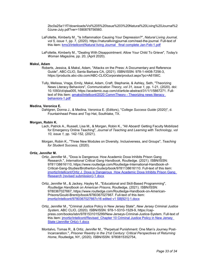2bc0a25a11f7/downloads/Vol%205%20Issue%203%20Natural%20Living%20Journal%2 0June-July.pdf?ver=1590878756560.

- LaFollette, Kimberly M., "Is Inflammation Causing Your Depression?", *Natural Living Journal, vol 5, issue 1*, pp. 7, (2020). https://naturallivingjournal.com/read-the-journal. Full-text of this item: [kms3/intellcont/Natural living Journal final complete Jan-Feb-1.pdf](https://www.digitalmeasures.com/login/indiana/faculty/survey/ui/showFile?file=a21zMy9pbnRlbGxjb250L05hdHVyYWwgbGl2aW5nIEpvdXJuYWwgIGZpbmFsIGNvbXBsZXRlIEphbi1GZWItMS5wZGY%3D&surId=17881742&nodeId=1610518&sdId=98049315&sdSurId=17881742&rptId=20226&ver=2&sgntr=VHn11FKmOaujVE5JnaqfBBPc5Vc%3D)
- LaFollette, Kimberly M., "Dealing With Disappointment: Allow Your Child To Grieve", *Today's Woman Magazine,* pp. 20, (April 2020).

#### **Maksl, Adam**

- Roberts, Jessica, & Maksl, Adam, "Attacks on the Press: A Documentary and Reference Guide", ABC-CLIO, Santa Barbara CA, (2021). ISBN/ISSN: 978-1-4408-7256-3, https://products.abc-clio.com/ABC-CLIOCorporate/product.aspx?pc=A6156C.
- Tully, Melissa, Vraga, Emily, Maksl, Adam, Craft, Stephanie, & Ashley, Seth, "Theorizing News Literacy Behaviors", *Communication Theory, vol 31, issue 1*, pp. 1-21, (2020). doi: 10.1093/ct/qtaa005, https://academic.oup.com/ct/article-abstract/31/1/1/5867271. Fulltext of this item: [amaksl/intellcont/2020 CommTheory -](https://www.digitalmeasures.com/login/indiana/faculty/survey/ui/showFile?file=YW1ha3NsL2ludGVsbGNvbnQvMjAyMCBDb21tVGhlb3J5IC0gVGhlb3JpemluZyBuZXdzIGxpdGVyYWN5IGJlaGF2aW9ycy0xLnBkZg%3D%3D&surId=17689287&nodeId=1610518&sdId=98061569&sdSurId=17689287&rptId=20226&ver=2&sgntr=gp6YHjQGa2sILpeDUDXy%2FW1JiKA%3D) Theorizing news literacy [behaviors-1.pdf](https://www.digitalmeasures.com/login/indiana/faculty/survey/ui/showFile?file=YW1ha3NsL2ludGVsbGNvbnQvMjAyMCBDb21tVGhlb3J5IC0gVGhlb3JpemluZyBuZXdzIGxpdGVyYWN5IGJlaGF2aW9ycy0xLnBkZg%3D%3D&surId=17689287&nodeId=1610518&sdId=98061569&sdSurId=17689287&rptId=20226&ver=2&sgntr=gp6YHjQGa2sILpeDUDXy%2FW1JiKA%3D)

## **Medina, Veronica E.**

Dahlgren, Donna J., & Medina, Veronica E. (Editors), "*College Success Guide* (2020)", d. Fountainhead Press and Top Hat, Southlake, TX.

### **Morgan, Robin K.**

- Lach, Patrick A., Russell, Lisa M., & Morgan, Robin K., "All Aboard! Getting Faculty Mobilized for Emergency Online Teaching", *Journal of Teaching and Learning with Technology, vol 10, issue 1,* pp. 142-152, (2021).
- Morgan, Robin K., "Three New Modules on Diversity, Inclusiveness, and Groups", *Teaching for Student Success,* (2020).

#### **Ortiz, Jennifer M.**

- Ortiz, Jennifer M., "Doxa is Dangerous: How Academic Doxa Inhibits Prison Gang Research.", *International Critical Gang Handbook*, Routledge. (2021). ISBN/ISSN: 9781138616110, https://www.routledge.com/Routledge-International-Handbook-of-Critical-Gang-Studies/Brotherton-Gude/p/book/9781138616110. Full-text of this item: [jmortiz/intellcont/Ortiz J. Doxa is Dangerous\\_How Academic Doxa Inhibits Prison Gang](https://www.digitalmeasures.com/login/indiana/faculty/survey/ui/showFile?file=am1vcnRpei9pbnRlbGxjb250L09ydGl6IEouIERveGEgaXMgRGFuZ2Vyb3VzX0hvdyBBY2FkZW1pYyBEb3hhIEluaGliaXRzIFByaXNvbiBHYW5nIFJlc2VhcmNoIChyZXZpc2VkIHN1Ym1pc3Npb24pLTEuZG9jeA%3D%3D&surId=17829050&nodeId=1610518&sdId=96778607&sdSurId=17829050&rptId=20226&ver=2&sgntr=XwdRWO2zLgEhe2zU9TMJWGSwtJc%3D)  [Research \(revised submission\)-1.docx](https://www.digitalmeasures.com/login/indiana/faculty/survey/ui/showFile?file=am1vcnRpei9pbnRlbGxjb250L09ydGl6IEouIERveGEgaXMgRGFuZ2Vyb3VzX0hvdyBBY2FkZW1pYyBEb3hhIEluaGliaXRzIFByaXNvbiBHYW5nIFJlc2VhcmNoIChyZXZpc2VkIHN1Ym1pc3Npb24pLTEuZG9jeA%3D%3D&surId=17829050&nodeId=1610518&sdId=96778607&sdSurId=17829050&rptId=20226&ver=2&sgntr=XwdRWO2zLgEhe2zU9TMJWGSwtJc%3D)
- Ortiz, Jennifer M., & Jackey, Hayley M., "Educational and Skill-Based Programming", *Routledge Handbook on American Prisons*, Routledge, (2021). ISBN/ISSN: 9780367027667, https://www.routledge.com/Routledge-Handbook-on-American-Prisons/Gould-Brent/p/book/9780367027667. Full-text of this item: [jmortiz/intellcont/9780367027667c16 edited v1 SB\[921\]-1.docx](https://www.digitalmeasures.com/login/indiana/faculty/survey/ui/showFile?file=am1vcnRpei9pbnRlbGxjb250Lzk3ODAzNjcwMjc2NjdjMTYgZWRpdGVkIHYxIFNCWzkyMV0tMS5kb2N4&surId=17829050&nodeId=1610518&sdId=105181940&sdSurId=17829050&rptId=20226&ver=2&sgntr=XI0ZPsBHrlREAaWzWo18z0M0nMg%3D)
- Ortiz, Jennifer M., "Criminal Justice Policy in New Jersey State", *New Jersey Criminal Justice System,* ABC CLIO, (2020). ISBN/ISSN: 978-1-5310-1529-9, https://cappress.com/books/isbn/9781531015299/New-Jerseys-Criminal-Justice-System. Full-text of this item: [jmortiz/intellcont/Revised\\_Chapter 10 Criminal Justice Policy in New Jersey](https://www.digitalmeasures.com/login/indiana/faculty/survey/ui/showFile?file=am1vcnRpei9pbnRlbGxjb250L1JldmlzZWRfQ2hhcHRlciAxMCBDcmltaW5hbCBKdXN0aWNlIFBvbGljeSBpbiBOZXcgSmVyc2V5IFN0YXRlIChKZW5uaWZlciBPcnRpeiktMS5kb2N4&surId=17829050&nodeId=1610518&sdId=96778505&sdSurId=17829050&rptId=20226&ver=2&sgntr=uETPwjypuywnr1ac6thY3Obha6Q%3D)  [State \(Jennifer Ortiz\)-1.docx](https://www.digitalmeasures.com/login/indiana/faculty/survey/ui/showFile?file=am1vcnRpei9pbnRlbGxjb250L1JldmlzZWRfQ2hhcHRlciAxMCBDcmltaW5hbCBKdXN0aWNlIFBvbGljeSBpbiBOZXcgSmVyc2V5IFN0YXRlIChKZW5uaWZlciBPcnRpeiktMS5kb2N4&surId=17829050&nodeId=1610518&sdId=96778505&sdSurId=17829050&rptId=20226&ver=2&sgntr=uETPwjypuywnr1ac6thY3Obha6Q%3D)
- Montalvo, Tomas R., & Ortiz, Jennifer M., "Perpetual Punishment: One Man's Journey Post-Incarceration.", *Prisoner Reentry in the 21st Century: Critical Perspectives of Returning Home*, Routledge, NY, (2020). ISBN/ISSN: 9780815352754,